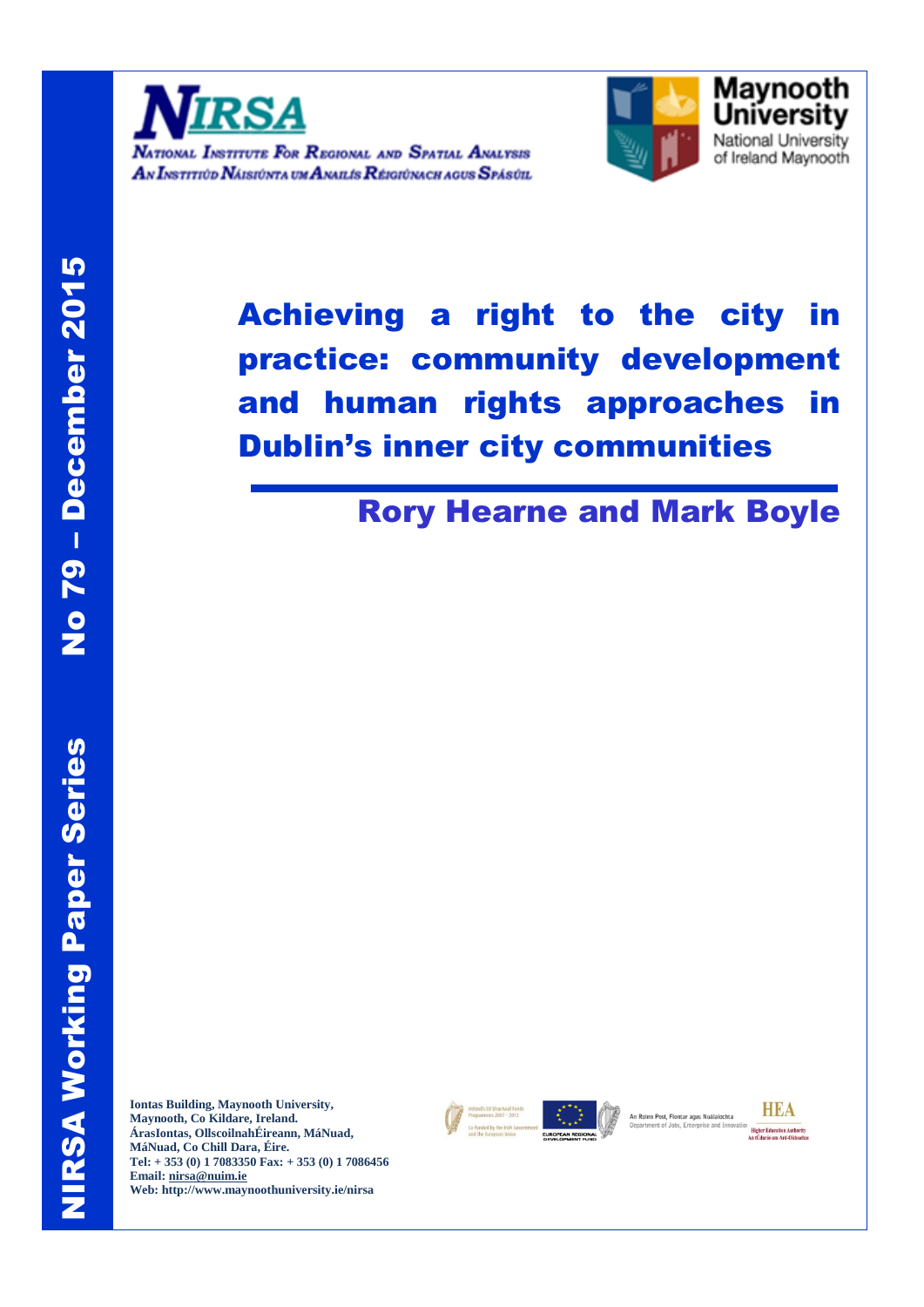



# Achieving a right to the city in practice: community development and human rights approaches in Dublin's inner city communities

# Rory Hearne and Mark Boyle

**Iontas Building, Maynooth University, Maynooth, Co Kildare, Ireland. ÁrasIontas, OllscoilnahÉireann, MáNuad, MáNuad, Co Chill Dara, Éire. Tel: + 353 (0) 1 7083350 Fax: + 353 (0) 1 7086456 Email: [nirsa@nuim.ie](mailto:nirsa@nuim.ie) Web: http://www.maynoothuniversity.ie/nirsa** 



An Roinn Post, Fiontar agus Nuálaíochta artment of Jobs, Enterprise and In



10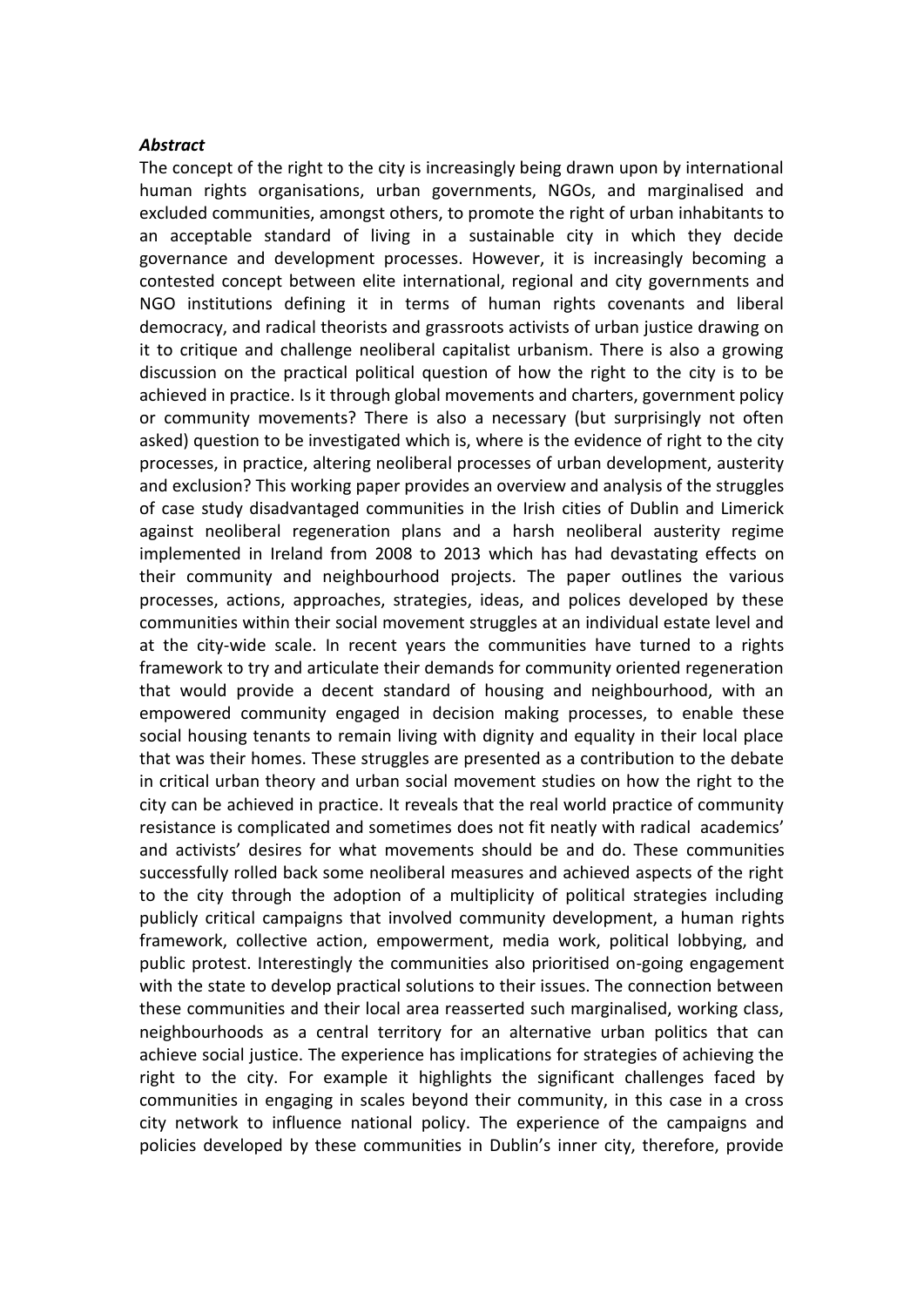#### *Abstract*

The concept of the right to the city is increasingly being drawn upon by international human rights organisations, urban governments, NGOs, and marginalised and excluded communities, amongst others, to promote the right of urban inhabitants to an acceptable standard of living in a sustainable city in which they decide governance and development processes. However, it is increasingly becoming a contested concept between elite international, regional and city governments and NGO institutions defining it in terms of human rights covenants and liberal democracy, and radical theorists and grassroots activists of urban justice drawing on it to critique and challenge neoliberal capitalist urbanism. There is also a growing discussion on the practical political question of how the right to the city is to be achieved in practice. Is it through global movements and charters, government policy or community movements? There is also a necessary (but surprisingly not often asked) question to be investigated which is, where is the evidence of right to the city processes, in practice, altering neoliberal processes of urban development, austerity and exclusion? This working paper provides an overview and analysis of the struggles of case study disadvantaged communities in the Irish cities of Dublin and Limerick against neoliberal regeneration plans and a harsh neoliberal austerity regime implemented in Ireland from 2008 to 2013 which has had devastating effects on their community and neighbourhood projects. The paper outlines the various processes, actions, approaches, strategies, ideas, and polices developed by these communities within their social movement struggles at an individual estate level and at the city-wide scale. In recent years the communities have turned to a rights framework to try and articulate their demands for community oriented regeneration that would provide a decent standard of housing and neighbourhood, with an empowered community engaged in decision making processes, to enable these social housing tenants to remain living with dignity and equality in their local place that was their homes. These struggles are presented as a contribution to the debate in critical urban theory and urban social movement studies on how the right to the city can be achieved in practice. It reveals that the real world practice of community resistance is complicated and sometimes does not fit neatly with radical academics' and activists' desires for what movements should be and do. These communities successfully rolled back some neoliberal measures and achieved aspects of the right to the city through the adoption of a multiplicity of political strategies including publicly critical campaigns that involved community development, a human rights framework, collective action, empowerment, media work, political lobbying, and public protest. Interestingly the communities also prioritised on-going engagement with the state to develop practical solutions to their issues. The connection between these communities and their local area reasserted such marginalised, working class, neighbourhoods as a central territory for an alternative urban politics that can achieve social justice. The experience has implications for strategies of achieving the right to the city. For example it highlights the significant challenges faced by communities in engaging in scales beyond their community, in this case in a cross city network to influence national policy. The experience of the campaigns and policies developed by these communities in Dublin's inner city, therefore, provide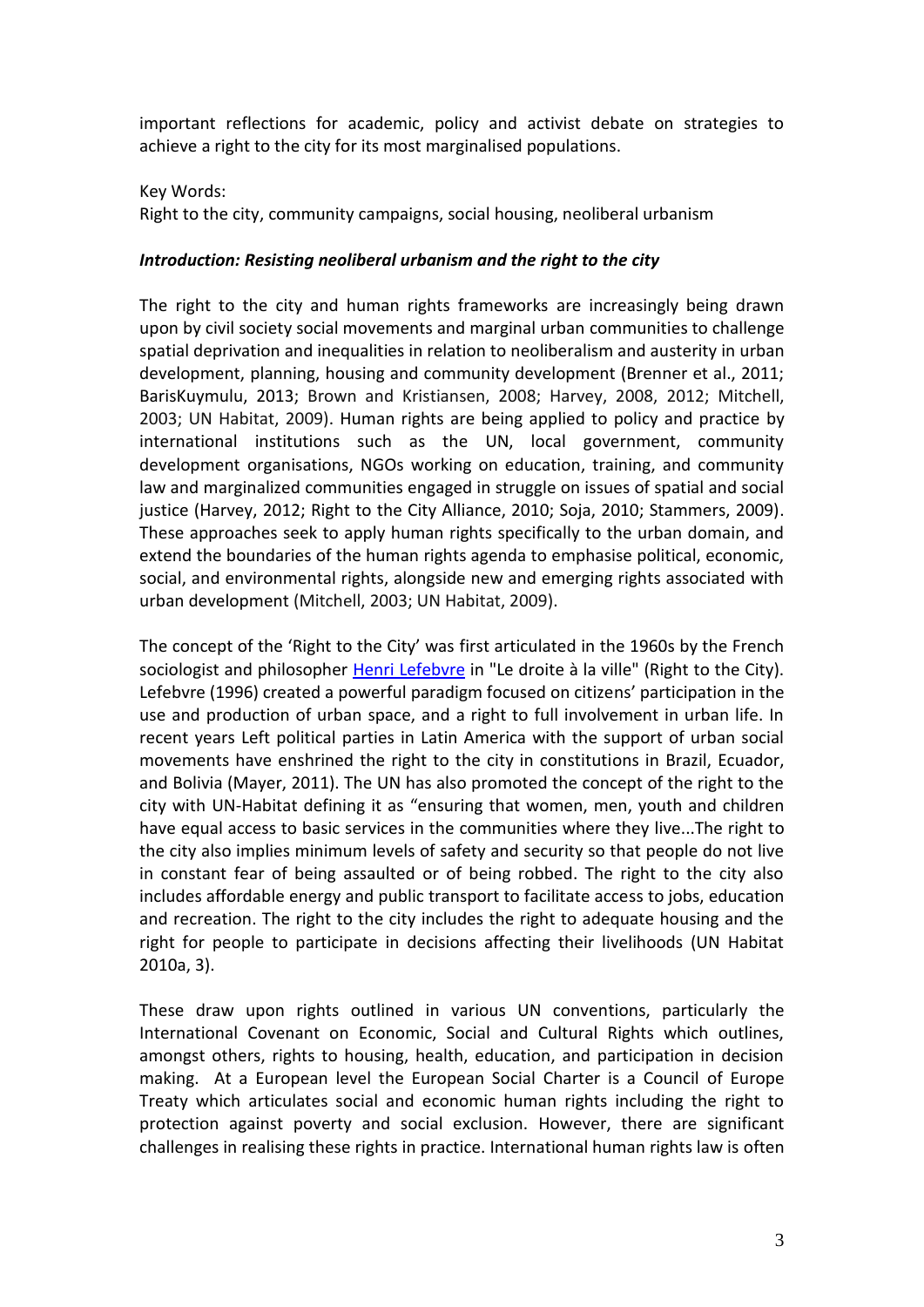important reflections for academic, policy and activist debate on strategies to achieve a right to the city for its most marginalised populations.

#### Key Words:

Right to the city, community campaigns, social housing, neoliberal urbanism

#### *Introduction: Resisting neoliberal urbanism and the right to the city*

The right to the city and human rights frameworks are increasingly being drawn upon by civil society social movements and marginal urban communities to challenge spatial deprivation and inequalities in relation to neoliberalism and austerity in urban development, planning, housing and community development (Brenner et al., 2011; BarisKuymulu, 2013; Brown and Kristiansen, 2008; Harvey, 2008, 2012; Mitchell, 2003; UN Habitat, 2009). Human rights are being applied to policy and practice by international institutions such as the UN, local government, community development organisations, NGOs working on education, training, and community law and marginalized communities engaged in struggle on issues of spatial and social justice (Harvey, 2012; Right to the City Alliance, 2010; Soja, 2010; Stammers, 2009). These approaches seek to apply human rights specifically to the urban domain, and extend the boundaries of the human rights agenda to emphasise political, economic, social, and environmental rights, alongside new and emerging rights associated with urban development (Mitchell, 2003; UN Habitat, 2009).

The concept of the 'Right to the City' was first articulated in the 1960s by the French sociologist and philosopher [Henri Lefebvre](http://en.wikipedia.org/wiki/Henri_Lefebvre) in "Le droite à la ville" (Right to the City). Lefebvre (1996) created a powerful paradigm focused on citizens' participation in the use and production of urban space, and a right to full involvement in urban life. In recent years Left political parties in Latin America with the support of urban social movements have enshrined the right to the city in constitutions in Brazil, Ecuador, and Bolivia (Mayer, 2011). The UN has also promoted the concept of the right to the city with UN-Habitat defining it as "ensuring that women, men, youth and children have equal access to basic services in the communities where they live...The right to the city also implies minimum levels of safety and security so that people do not live in constant fear of being assaulted or of being robbed. The right to the city also includes affordable energy and public transport to facilitate access to jobs, education and recreation. The right to the city includes the right to adequate housing and the right for people to participate in decisions affecting their livelihoods (UN Habitat 2010a, 3).

These draw upon rights outlined in various UN conventions, particularly the International Covenant on Economic, Social and Cultural Rights which outlines, amongst others, rights to housing, health, education, and participation in decision making. At a European level the European Social Charter is a Council of Europe Treaty which articulates social and economic human rights including the right to protection against poverty and social exclusion. However, there are significant challenges in realising these rights in practice. International human rights law is often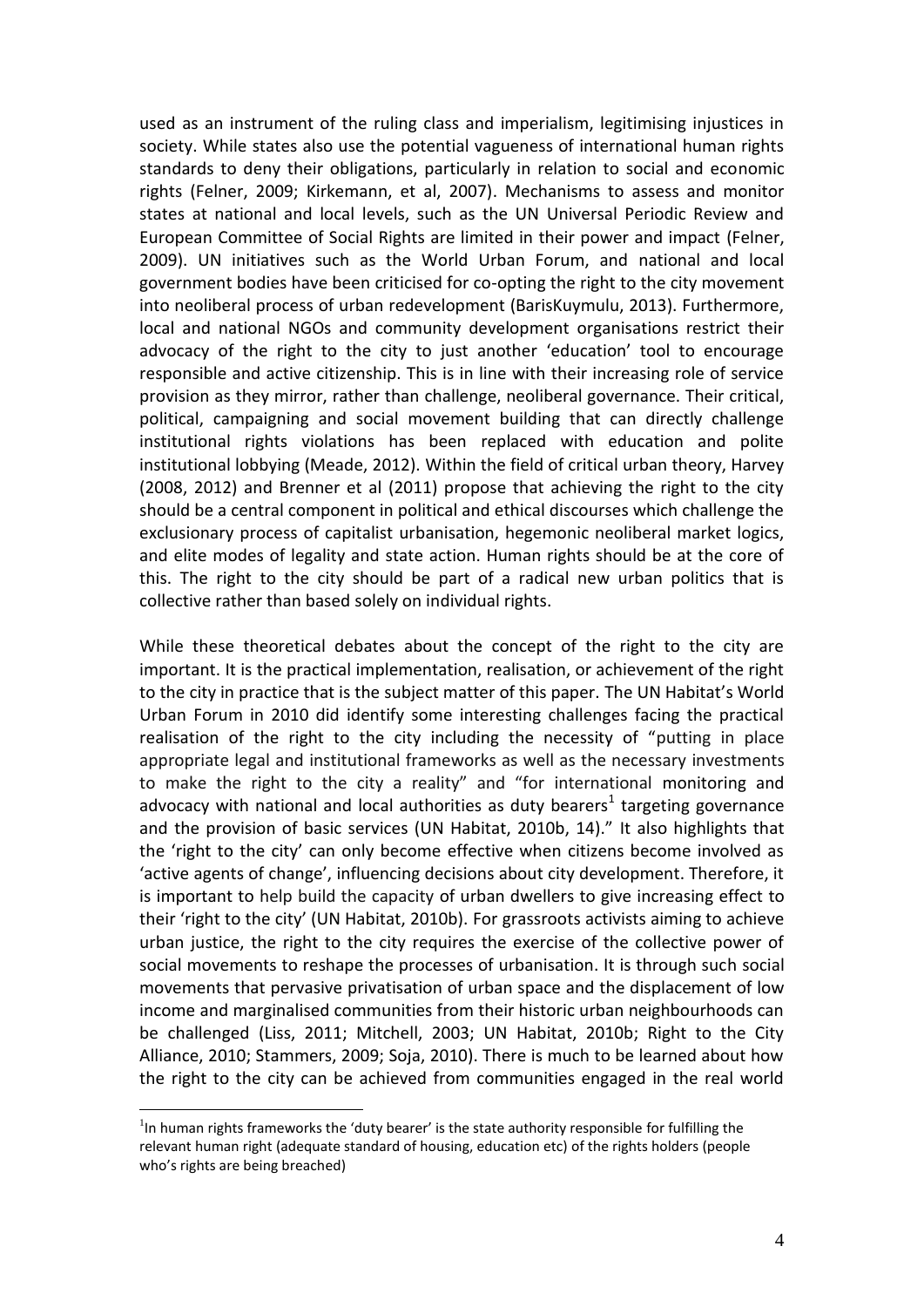used as an instrument of the ruling class and imperialism, legitimising injustices in society. While states also use the potential vagueness of international human rights standards to deny their obligations, particularly in relation to social and economic rights (Felner, 2009; Kirkemann, et al, 2007). Mechanisms to assess and monitor states at national and local levels, such as the UN Universal Periodic Review and European Committee of Social Rights are limited in their power and impact (Felner, 2009). UN initiatives such as the World Urban Forum, and national and local government bodies have been criticised for co-opting the right to the city movement into neoliberal process of urban redevelopment (BarisKuymulu, 2013). Furthermore, local and national NGOs and community development organisations restrict their advocacy of the right to the city to just another 'education' tool to encourage responsible and active citizenship. This is in line with their increasing role of service provision as they mirror, rather than challenge, neoliberal governance. Their critical, political, campaigning and social movement building that can directly challenge institutional rights violations has been replaced with education and polite institutional lobbying (Meade, 2012). Within the field of critical urban theory, Harvey (2008, 2012) and Brenner et al (2011) propose that achieving the right to the city should be a central component in political and ethical discourses which challenge the exclusionary process of capitalist urbanisation, hegemonic neoliberal market logics, and elite modes of legality and state action. Human rights should be at the core of this. The right to the city should be part of a radical new urban politics that is collective rather than based solely on individual rights.

While these theoretical debates about the concept of the right to the city are important. It is the practical implementation, realisation, or achievement of the right to the city in practice that is the subject matter of this paper. The UN Habitat's World Urban Forum in 2010 did identify some interesting challenges facing the practical realisation of the right to the city including the necessity of "putting in place appropriate legal and institutional frameworks as well as the necessary investments to make the right to the city a reality" and "for international monitoring and advocacy with national and local authorities as duty bearers<sup>1</sup> targeting governance and the provision of basic services (UN Habitat, 2010b, 14)." It also highlights that the 'right to the city' can only become effective when citizens become involved as 'active agents of change', influencing decisions about city development. Therefore, it is important to help build the capacity of urban dwellers to give increasing effect to their 'right to the city' (UN Habitat, 2010b). For grassroots activists aiming to achieve urban justice, the right to the city requires the exercise of the collective power of social movements to reshape the processes of urbanisation. It is through such social movements that pervasive privatisation of urban space and the displacement of low income and marginalised communities from their historic urban neighbourhoods can be challenged (Liss, 2011; Mitchell, 2003; UN Habitat, 2010b; Right to the City Alliance, 2010; Stammers, 2009; Soja, 2010). There is much to be learned about how the right to the city can be achieved from communities engaged in the real world

 $1$ In human rights frameworks the 'duty bearer' is the state authority responsible for fulfilling the relevant human right (adequate standard of housing, education etc) of the rights holders (people who's rights are being breached)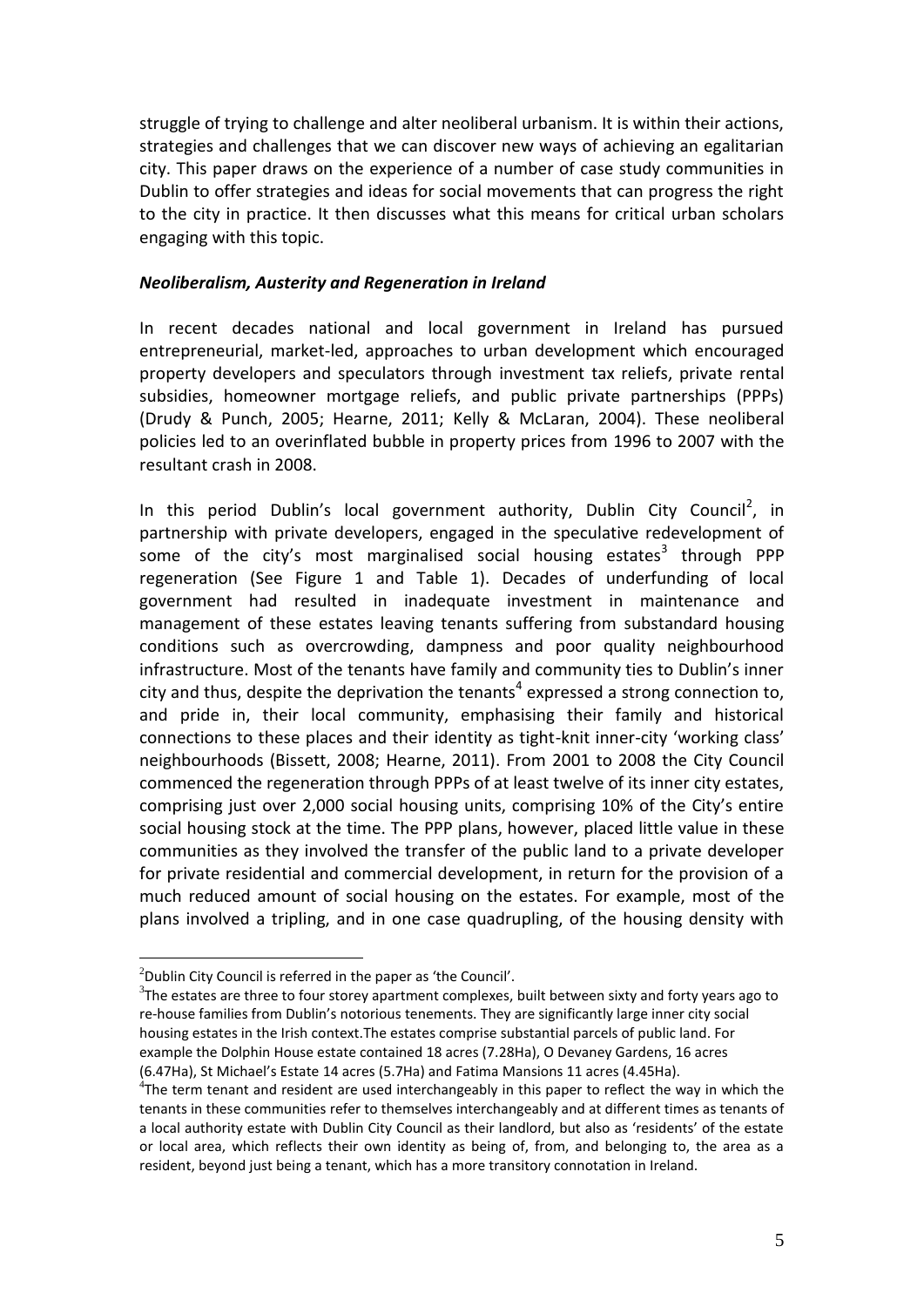struggle of trying to challenge and alter neoliberal urbanism. It is within their actions, strategies and challenges that we can discover new ways of achieving an egalitarian city. This paper draws on the experience of a number of case study communities in Dublin to offer strategies and ideas for social movements that can progress the right to the city in practice. It then discusses what this means for critical urban scholars engaging with this topic.

#### *Neoliberalism, Austerity and Regeneration in Ireland*

In recent decades national and local government in Ireland has pursued entrepreneurial, market-led, approaches to urban development which encouraged property developers and speculators through investment tax reliefs, private rental subsidies, homeowner mortgage reliefs, and public private partnerships (PPPs) (Drudy & Punch, 2005; Hearne, 2011; Kelly & McLaran, 2004). These neoliberal policies led to an overinflated bubble in property prices from 1996 to 2007 with the resultant crash in 2008.

In this period Dublin's local government authority, Dublin City Council<sup>2</sup>, in partnership with private developers, engaged in the speculative redevelopment of some of the city's most marginalised social housing estates<sup>3</sup> through PPP regeneration (See Figure 1 and Table 1). Decades of underfunding of local government had resulted in inadequate investment in maintenance and management of these estates leaving tenants suffering from substandard housing conditions such as overcrowding, dampness and poor quality neighbourhood infrastructure. Most of the tenants have family and community ties to Dublin's inner city and thus, despite the deprivation the tenants<sup>4</sup> expressed a strong connection to, and pride in, their local community, emphasising their family and historical connections to these places and their identity as tight-knit inner-city 'working class' neighbourhoods (Bissett, 2008; Hearne, 2011). From 2001 to 2008 the City Council commenced the regeneration through PPPs of at least twelve of its inner city estates, comprising just over 2,000 social housing units, comprising 10% of the City's entire social housing stock at the time. The PPP plans, however, placed little value in these communities as they involved the transfer of the public land to a private developer for private residential and commercial development, in return for the provision of a much reduced amount of social housing on the estates. For example, most of the plans involved a tripling, and in one case quadrupling, of the housing density with

 $2$ Dublin City Council is referred in the paper as 'the Council'.

 $3$ The estates are three to four storey apartment complexes, built between sixty and forty years ago to re-house families from Dublin's notorious tenements. They are significantly large inner city social housing estates in the Irish context.The estates comprise substantial parcels of public land. For example the Dolphin House estate contained 18 acres (7.28Ha), O Devaney Gardens, 16 acres (6.47Ha), St Michael's Estate 14 acres (5.7Ha) and Fatima Mansions 11 acres (4.45Ha).

 $4$ The term tenant and resident are used interchangeably in this paper to reflect the way in which the tenants in these communities refer to themselves interchangeably and at different times as tenants of a local authority estate with Dublin City Council as their landlord, but also as 'residents' of the estate or local area, which reflects their own identity as being of, from, and belonging to, the area as a resident, beyond just being a tenant, which has a more transitory connotation in Ireland.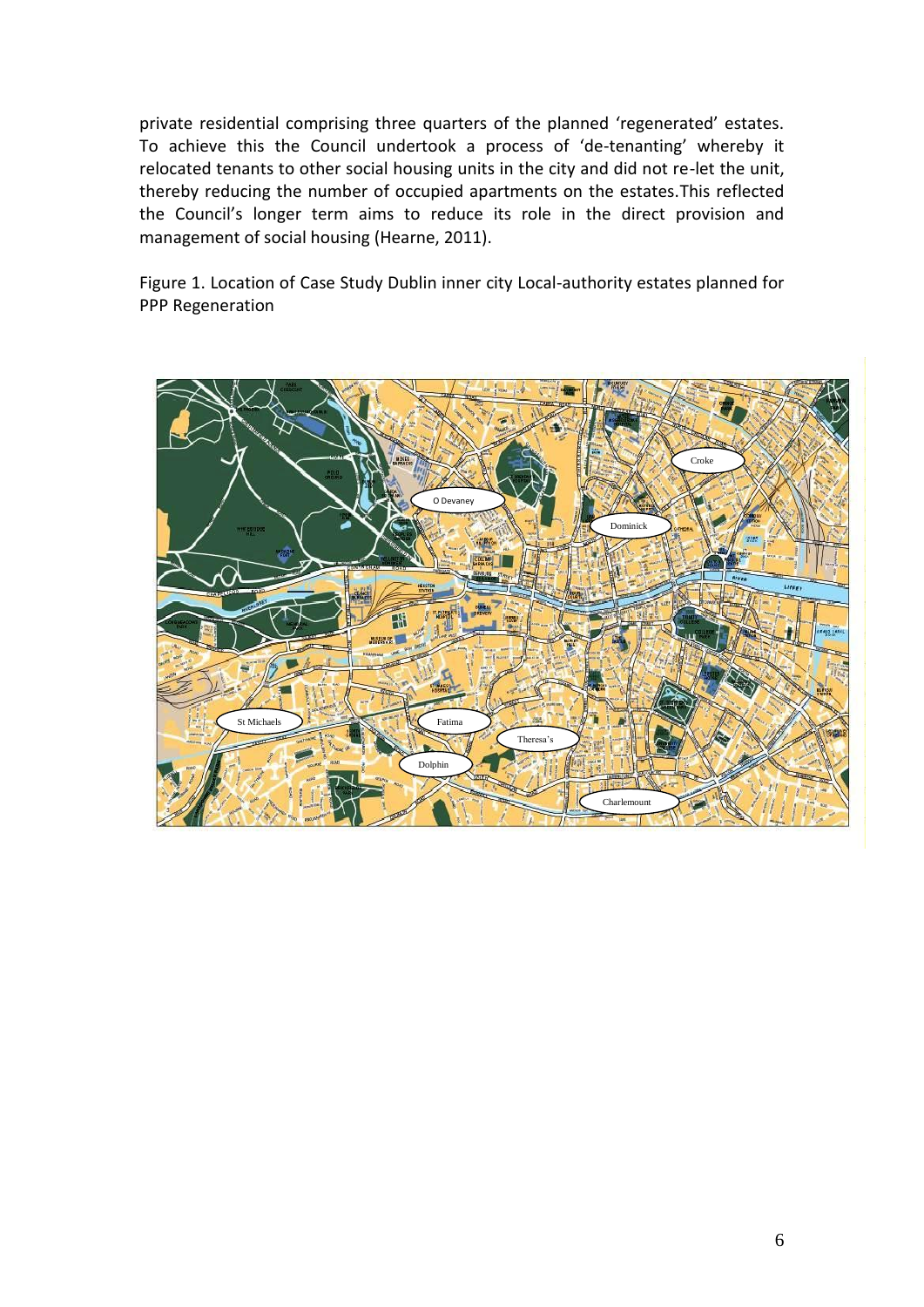private residential comprising three quarters of the planned 'regenerated' estates. To achieve this the Council undertook a process of 'de-tenanting' whereby it relocated tenants to other social housing units in the city and did not re-let the unit, thereby reducing the number of occupied apartments on the estates.This reflected the Council's longer term aims to reduce its role in the direct provision and management of social housing (Hearne, 2011).

Figure 1. Location of Case Study Dublin inner city Local-authority estates planned for PPP Regeneration

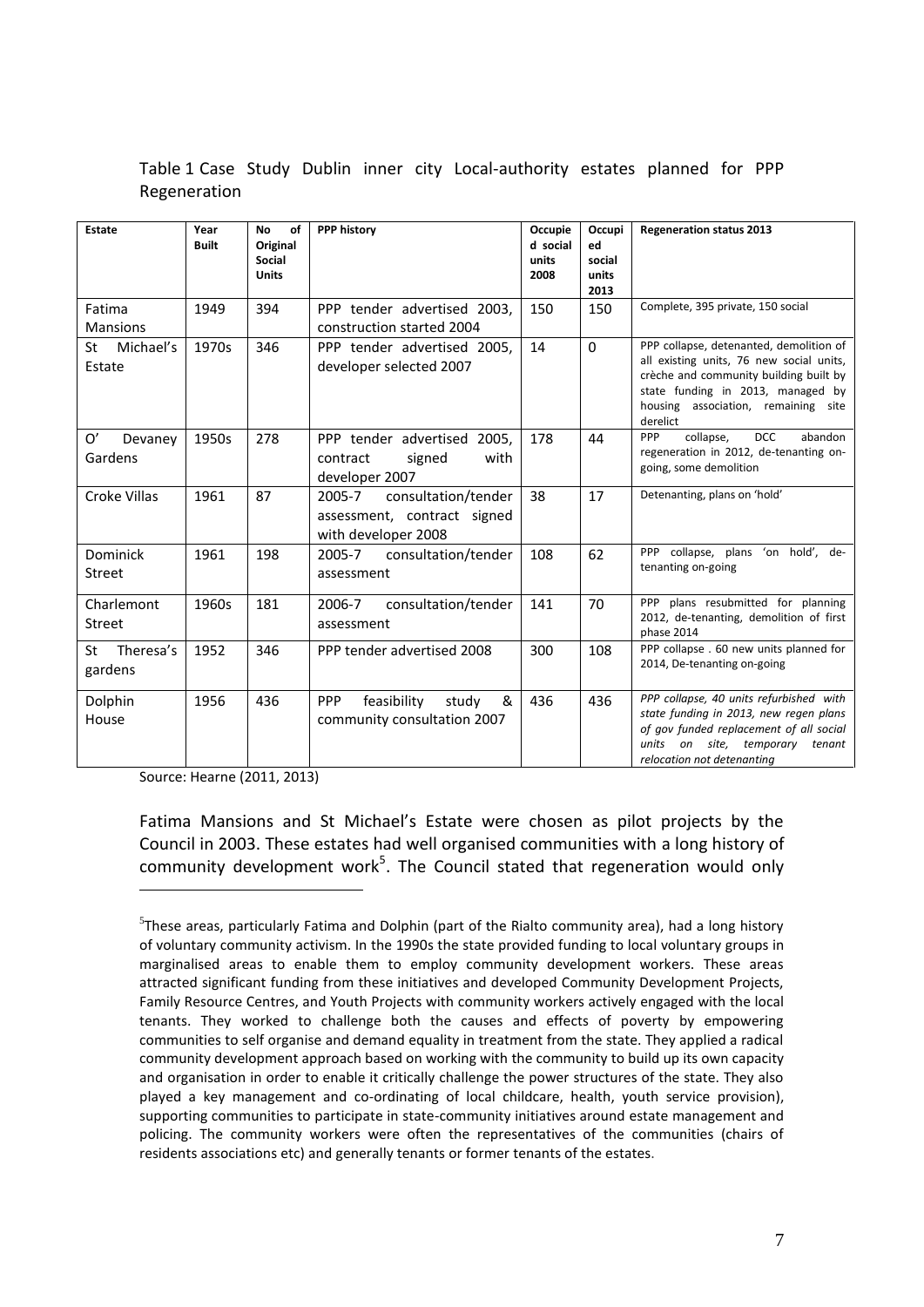| Estate                      | Year<br><b>Built</b> | <b>No</b><br>of<br>Original<br><b>Social</b><br><b>Units</b> | <b>PPP history</b>                                                                  | Occupie<br>d social<br>units<br>2008 | Occupi<br>ed<br>social<br>units<br>2013 | <b>Regeneration status 2013</b>                                                                                                                                                                                       |
|-----------------------------|----------------------|--------------------------------------------------------------|-------------------------------------------------------------------------------------|--------------------------------------|-----------------------------------------|-----------------------------------------------------------------------------------------------------------------------------------------------------------------------------------------------------------------------|
| Fatima<br><b>Mansions</b>   | 1949                 | 394                                                          | PPP tender advertised 2003.<br>construction started 2004                            | 150                                  | 150                                     | Complete, 395 private, 150 social                                                                                                                                                                                     |
| Michael's<br>St<br>Estate   | 1970s                | 346                                                          | PPP tender advertised 2005,<br>developer selected 2007                              | 14                                   | $\Omega$                                | PPP collapse, detenanted, demolition of<br>all existing units, 76 new social units,<br>crèche and community building built by<br>state funding in 2013, managed by<br>housing association, remaining site<br>derelict |
| 0'<br>Devaney<br>Gardens    | 1950s                | 278                                                          | PPP tender advertised 2005.<br>contract<br>signed<br>with<br>developer 2007         | 178                                  | 44                                      | <b>DCC</b><br>PPP<br>collapse,<br>abandon<br>regeneration in 2012, de-tenanting on-<br>going, some demolition                                                                                                         |
| <b>Croke Villas</b>         | 1961                 | 87                                                           | consultation/tender<br>2005-7<br>assessment, contract signed<br>with developer 2008 | 38                                   | 17                                      | Detenanting, plans on 'hold'                                                                                                                                                                                          |
| Dominick<br><b>Street</b>   | 1961                 | 198                                                          | consultation/tender<br>2005-7<br>assessment                                         | 108                                  | 62                                      | PPP collapse, plans 'on hold', de-<br>tenanting on-going                                                                                                                                                              |
| Charlemont<br><b>Street</b> | 1960s                | 181                                                          | 2006-7<br>consultation/tender<br>assessment                                         | 141                                  | 70                                      | PPP plans resubmitted for planning<br>2012, de-tenanting, demolition of first<br>phase 2014                                                                                                                           |
| Theresa's<br>St<br>gardens  | 1952                 | 346                                                          | PPP tender advertised 2008                                                          | 300                                  | 108                                     | PPP collapse . 60 new units planned for<br>2014, De-tenanting on-going                                                                                                                                                |
| Dolphin<br>House            | 1956                 | 436                                                          | feasibility<br>&<br><b>PPP</b><br>study<br>community consultation 2007              | 436                                  | 436                                     | PPP collapse, 40 units refurbished with<br>state funding in 2013, new regen plans<br>of gov funded replacement of all social<br>units on site, temporary<br>tenant<br>relocation not detenanting                      |

Table 1 Case Study Dublin inner city Local-authority estates planned for PPP Regeneration

Source: Hearne (2011, 2013)

 $\overline{a}$ 

Fatima Mansions and St Michael's Estate were chosen as pilot projects by the Council in 2003. These estates had well organised communities with a long history of community development work<sup>5</sup>. The Council stated that regeneration would only

<sup>5</sup> These areas, particularly Fatima and Dolphin (part of the Rialto community area), had a long history of voluntary community activism. In the 1990s the state provided funding to local voluntary groups in marginalised areas to enable them to employ community development workers. These areas attracted significant funding from these initiatives and developed Community Development Projects, Family Resource Centres, and Youth Projects with community workers actively engaged with the local tenants. They worked to challenge both the causes and effects of poverty by empowering communities to self organise and demand equality in treatment from the state. They applied a radical community development approach based on working with the community to build up its own capacity and organisation in order to enable it critically challenge the power structures of the state. They also played a key management and co-ordinating of local childcare, health, youth service provision), supporting communities to participate in state-community initiatives around estate management and policing. The community workers were often the representatives of the communities (chairs of residents associations etc) and generally tenants or former tenants of the estates.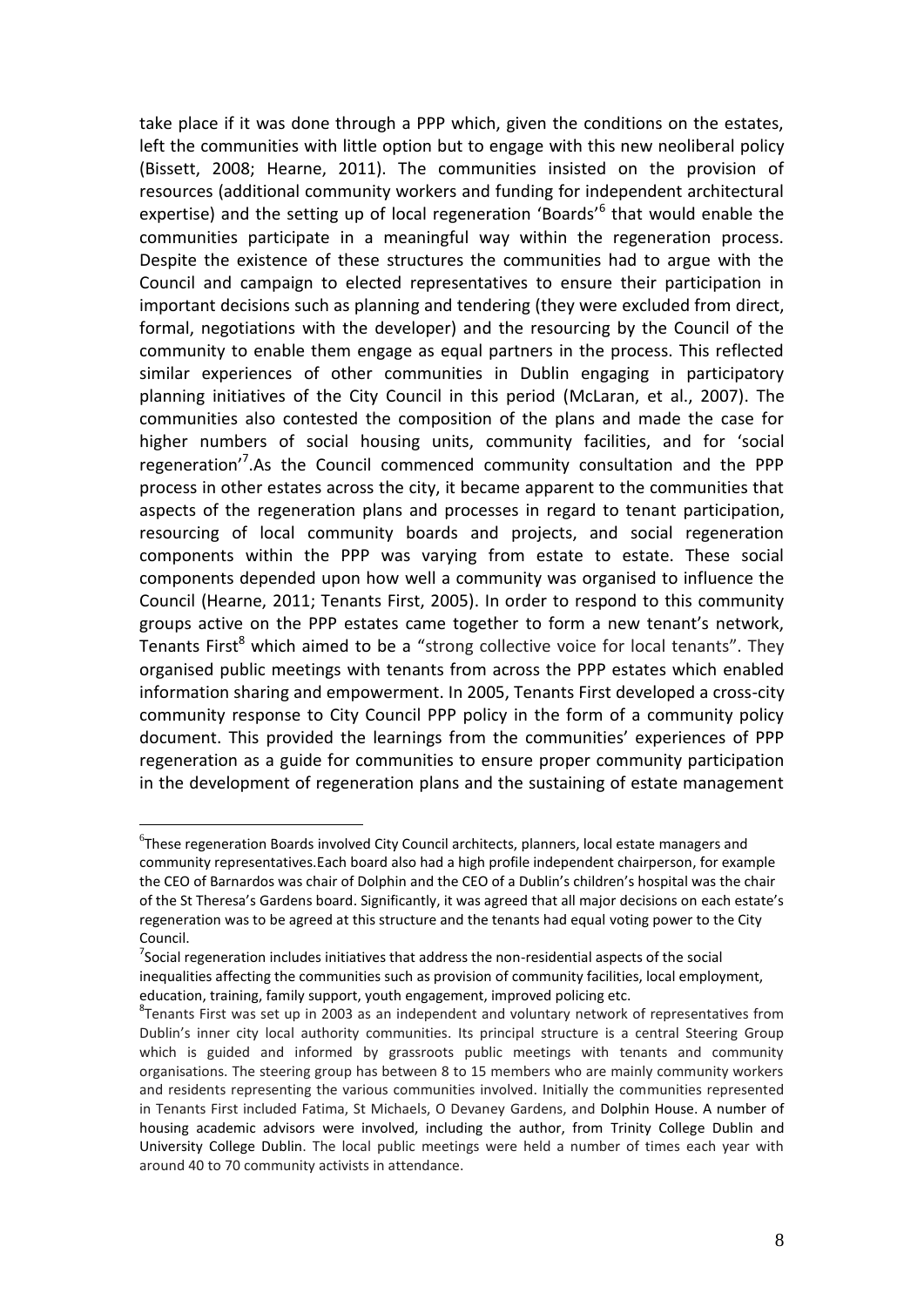take place if it was done through a PPP which, given the conditions on the estates, left the communities with little option but to engage with this new neoliberal policy (Bissett, 2008; Hearne, 2011). The communities insisted on the provision of resources (additional community workers and funding for independent architectural expertise) and the setting up of local regeneration 'Boards'<sup>6</sup> that would enable the communities participate in a meaningful way within the regeneration process. Despite the existence of these structures the communities had to argue with the Council and campaign to elected representatives to ensure their participation in important decisions such as planning and tendering (they were excluded from direct, formal, negotiations with the developer) and the resourcing by the Council of the community to enable them engage as equal partners in the process. This reflected similar experiences of other communities in Dublin engaging in participatory planning initiatives of the City Council in this period (McLaran, et al., 2007). The communities also contested the composition of the plans and made the case for higher numbers of social housing units, community facilities, and for 'social regeneration<sup>'7</sup>. As the Council commenced community consultation and the PPP process in other estates across the city, it became apparent to the communities that aspects of the regeneration plans and processes in regard to tenant participation, resourcing of local community boards and projects, and social regeneration components within the PPP was varying from estate to estate. These social components depended upon how well a community was organised to influence the Council (Hearne, 2011; Tenants First, 2005). In order to respond to this community groups active on the PPP estates came together to form a new tenant's network, Tenants First<sup>8</sup> which aimed to be a "strong collective voice for local tenants". They organised public meetings with tenants from across the PPP estates which enabled information sharing and empowerment. In 2005, Tenants First developed a cross-city community response to City Council PPP policy in the form of a community policy document. This provided the learnings from the communities' experiences of PPP regeneration as a guide for communities to ensure proper community participation in the development of regeneration plans and the sustaining of estate management

 ${}^{6}$ These regeneration Boards involved City Council architects, planners, local estate managers and community representatives.Each board also had a high profile independent chairperson, for example the CEO of Barnardos was chair of Dolphin and the CEO of a Dublin's children's hospital was the chair of the St Theresa's Gardens board. Significantly, it was agreed that all major decisions on each estate's regeneration was to be agreed at this structure and the tenants had equal voting power to the City Council.

 $7$ Social regeneration includes initiatives that address the non-residential aspects of the social inequalities affecting the communities such as provision of community facilities, local employment, education, training, family support, youth engagement, improved policing etc.

<sup>&</sup>lt;sup>8</sup>Tenants First was set up in 2003 as an independent and voluntary network of representatives from Dublin's inner city local authority communities. Its principal structure is a central Steering Group which is guided and informed by grassroots public meetings with tenants and community organisations. The steering group has between 8 to 15 members who are mainly community workers and residents representing the various communities involved. Initially the communities represented in Tenants First included Fatima, St Michaels, O Devaney Gardens, and Dolphin House. A number of housing academic advisors were involved, including the author, from Trinity College Dublin and University College Dublin. The local public meetings were held a number of times each year with around 40 to 70 community activists in attendance.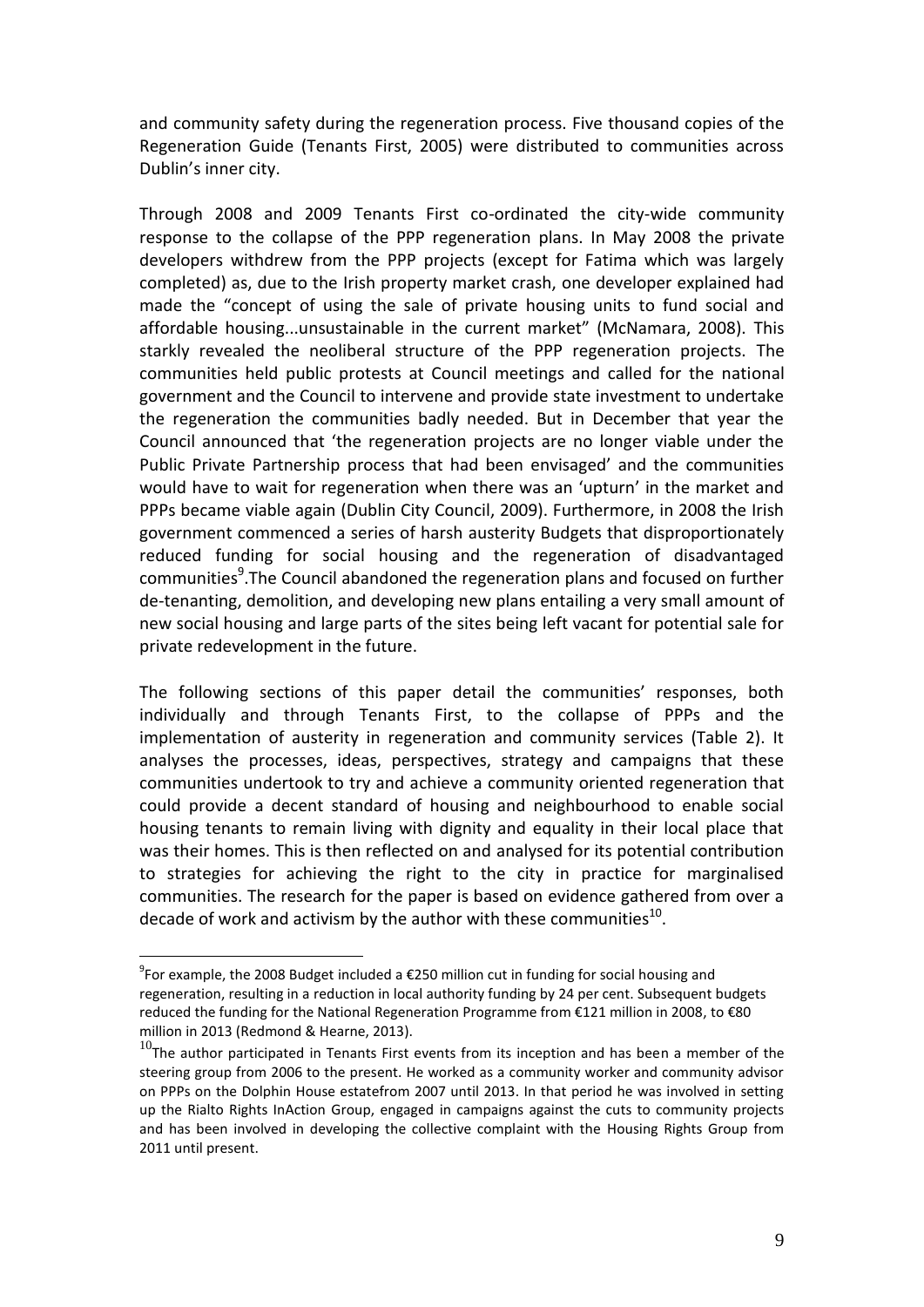and community safety during the regeneration process. Five thousand copies of the Regeneration Guide (Tenants First, 2005) were distributed to communities across Dublin's inner city.

Through 2008 and 2009 Tenants First co-ordinated the city-wide community response to the collapse of the PPP regeneration plans. In May 2008 the private developers withdrew from the PPP projects (except for Fatima which was largely completed) as, due to the Irish property market crash, one developer explained had made the "concept of using the sale of private housing units to fund social and affordable housing...unsustainable in the current market" (McNamara, 2008). This starkly revealed the neoliberal structure of the PPP regeneration projects. The communities held public protests at Council meetings and called for the national government and the Council to intervene and provide state investment to undertake the regeneration the communities badly needed. But in December that year the Council announced that 'the regeneration projects are no longer viable under the Public Private Partnership process that had been envisaged' and the communities would have to wait for regeneration when there was an 'upturn' in the market and PPPs became viable again (Dublin City Council, 2009). Furthermore, in 2008 the Irish government commenced a series of harsh austerity Budgets that disproportionately reduced funding for social housing and the regeneration of disadvantaged communities<sup>9</sup>. The Council abandoned the regeneration plans and focused on further de-tenanting, demolition, and developing new plans entailing a very small amount of new social housing and large parts of the sites being left vacant for potential sale for private redevelopment in the future.

The following sections of this paper detail the communities' responses, both individually and through Tenants First, to the collapse of PPPs and the implementation of austerity in regeneration and community services (Table 2). It analyses the processes, ideas, perspectives, strategy and campaigns that these communities undertook to try and achieve a community oriented regeneration that could provide a decent standard of housing and neighbourhood to enable social housing tenants to remain living with dignity and equality in their local place that was their homes. This is then reflected on and analysed for its potential contribution to strategies for achieving the right to the city in practice for marginalised communities. The research for the paper is based on evidence gathered from over a decade of work and activism by the author with these communities $^{10}$ .

 $^{9}$ For example, the 2008 Budget included a €250 million cut in funding for social housing and regeneration, resulting in a reduction in local authority funding by 24 per cent. Subsequent budgets reduced the funding for the National Regeneration Programme from €121 million in 2008, to €80 million in 2013 (Redmond & Hearne, 2013).

 $10$ The author participated in Tenants First events from its inception and has been a member of the steering group from 2006 to the present. He worked as a community worker and community advisor on PPPs on the Dolphin House estatefrom 2007 until 2013. In that period he was involved in setting up the Rialto Rights InAction Group, engaged in campaigns against the cuts to community projects and has been involved in developing the collective complaint with the Housing Rights Group from 2011 until present.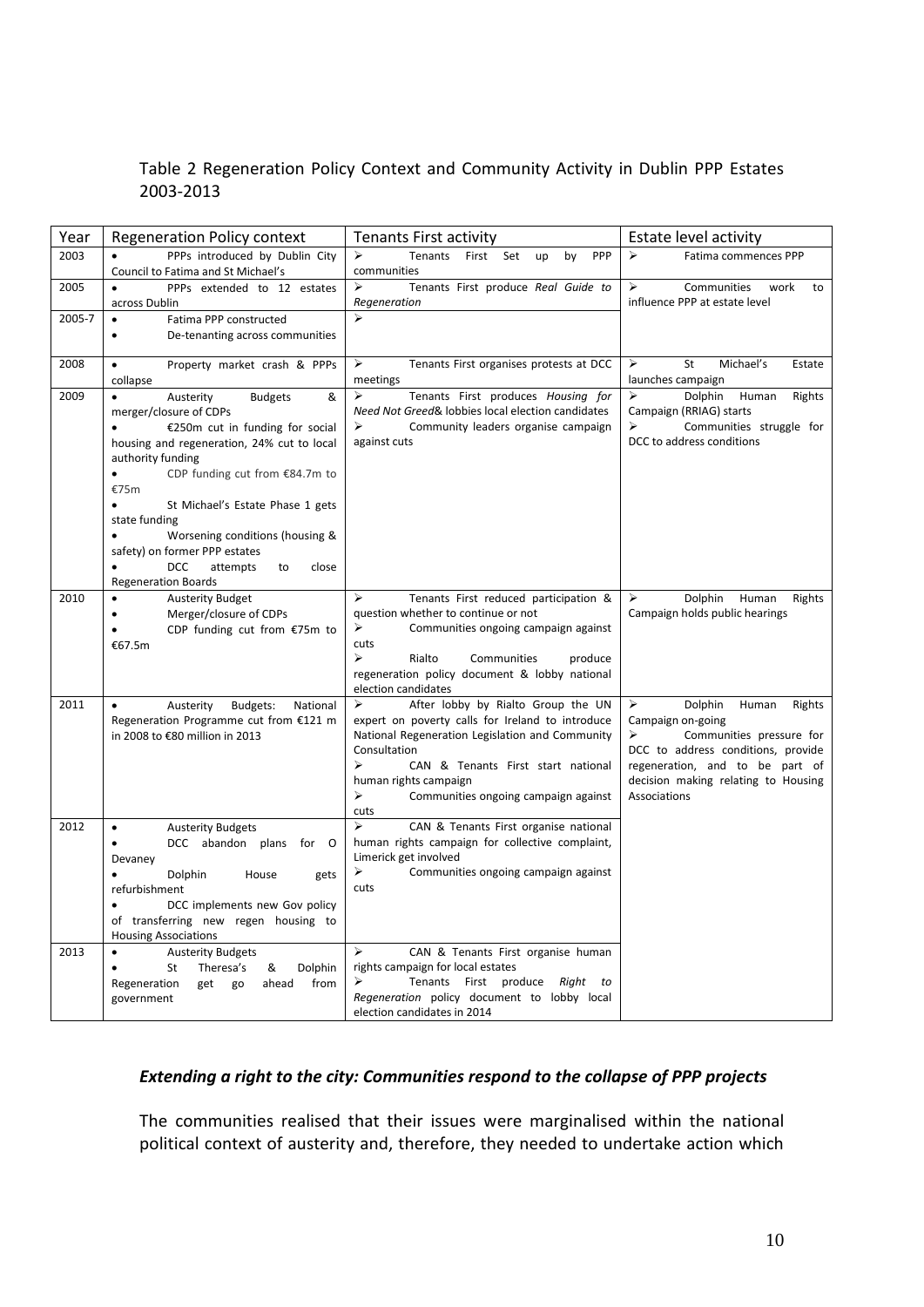### Table 2 Regeneration Policy Context and Community Activity in Dublin PPP Estates 2003-2013

| Year           | <b>Regeneration Policy context</b>                                                                                                                                                                                                                                                                                                                                                                                      | <b>Tenants First activity</b>                                                                                                                                                                                                                                                           | Estate level activity                                                                                                                                                                                                 |
|----------------|-------------------------------------------------------------------------------------------------------------------------------------------------------------------------------------------------------------------------------------------------------------------------------------------------------------------------------------------------------------------------------------------------------------------------|-----------------------------------------------------------------------------------------------------------------------------------------------------------------------------------------------------------------------------------------------------------------------------------------|-----------------------------------------------------------------------------------------------------------------------------------------------------------------------------------------------------------------------|
| 2003           | PPPs introduced by Dublin City<br>Council to Fatima and St Michael's                                                                                                                                                                                                                                                                                                                                                    | Tenants<br>First<br>PPP<br>➤<br>Set<br>up<br>by<br>communities                                                                                                                                                                                                                          | Fatima commences PPP<br>⋗                                                                                                                                                                                             |
| 2005<br>2005-7 | PPPs extended to 12 estates<br>across Dublin<br>Fatima PPP constructed<br>$\bullet$                                                                                                                                                                                                                                                                                                                                     | ➤<br>Tenants First produce Real Guide to<br>Regeneration<br>⋗                                                                                                                                                                                                                           | ➤<br>Communities<br>work<br>to<br>influence PPP at estate level                                                                                                                                                       |
|                | De-tenanting across communities<br>$\bullet$                                                                                                                                                                                                                                                                                                                                                                            |                                                                                                                                                                                                                                                                                         |                                                                                                                                                                                                                       |
| 2008           | Property market crash & PPPs<br>$\bullet$<br>collapse                                                                                                                                                                                                                                                                                                                                                                   | Tenants First organises protests at DCC<br>➤<br>meetings                                                                                                                                                                                                                                | St<br>Michael's<br>➤<br>Estate<br>launches campaign                                                                                                                                                                   |
| 2009           | Austerity<br><b>Budgets</b><br>&<br>$\bullet$<br>merger/closure of CDPs<br>€250m cut in funding for social<br>housing and regeneration, 24% cut to local<br>authority funding<br>CDP funding cut from €84.7m to<br>€75m<br>St Michael's Estate Phase 1 gets<br>state funding<br>Worsening conditions (housing &<br>safety) on former PPP estates<br><b>DCC</b><br>attempts<br>close<br>to<br><b>Regeneration Boards</b> | ➤<br>Tenants First produces Housing for<br>Need Not Greed& lobbies local election candidates<br>Community leaders organise campaign<br>⋗<br>against cuts                                                                                                                                | ➤<br>Dolphin<br>Human<br>Rights<br>Campaign (RRIAG) starts<br>Communities struggle for<br>DCC to address conditions                                                                                                   |
| 2010           | <b>Austerity Budget</b><br>Merger/closure of CDPs<br>CDP funding cut from €75m to<br>€67.5m                                                                                                                                                                                                                                                                                                                             | ⋗<br>Tenants First reduced participation &<br>question whether to continue or not<br>➤<br>Communities ongoing campaign against<br>cuts<br>$\blacktriangleright$<br>Rialto<br>Communities<br>produce<br>regeneration policy document & lobby national<br>election candidates             | Dolphin<br>Human<br>⋗<br>Rights<br>Campaign holds public hearings                                                                                                                                                     |
| 2011           | Austerity<br>Budgets:<br>National<br>Regeneration Programme cut from €121 m<br>in 2008 to €80 million in 2013                                                                                                                                                                                                                                                                                                           | After lobby by Rialto Group the UN<br>➤<br>expert on poverty calls for Ireland to introduce<br>National Regeneration Legislation and Community<br>Consultation<br>⋗<br>CAN & Tenants First start national<br>human rights campaign<br>➤<br>Communities ongoing campaign against<br>cuts | Dolphin<br>Human<br>➤<br>Rights<br>Campaign on-going<br>Communities pressure for<br>⋗<br>DCC to address conditions, provide<br>regeneration, and to be part of<br>decision making relating to Housing<br>Associations |
| 2012           | <b>Austerity Budgets</b><br>$\bullet$<br>DCC abandon plans for O<br>Devaney<br>Dolphin<br>House<br>gets<br>refurbishment<br>DCC implements new Gov policy<br>of transferring new regen housing to<br><b>Housing Associations</b>                                                                                                                                                                                        | ⋗<br>CAN & Tenants First organise national<br>human rights campaign for collective complaint,<br>Limerick get involved<br>➤<br>Communities ongoing campaign against<br>cuts                                                                                                             |                                                                                                                                                                                                                       |
| 2013           | <b>Austerity Budgets</b><br>$\bullet$<br>St<br>Theresa's<br>Dolphin<br>&<br>from<br>Regeneration<br>get<br>go<br>ahead<br>government                                                                                                                                                                                                                                                                                    | CAN & Tenants First organise human<br>➤<br>rights campaign for local estates<br>Tenants First produce Right<br>to<br>Regeneration policy document to lobby local<br>election candidates in 2014                                                                                         |                                                                                                                                                                                                                       |

#### *Extending a right to the city: Communities respond to the collapse of PPP projects*

The communities realised that their issues were marginalised within the national political context of austerity and, therefore, they needed to undertake action which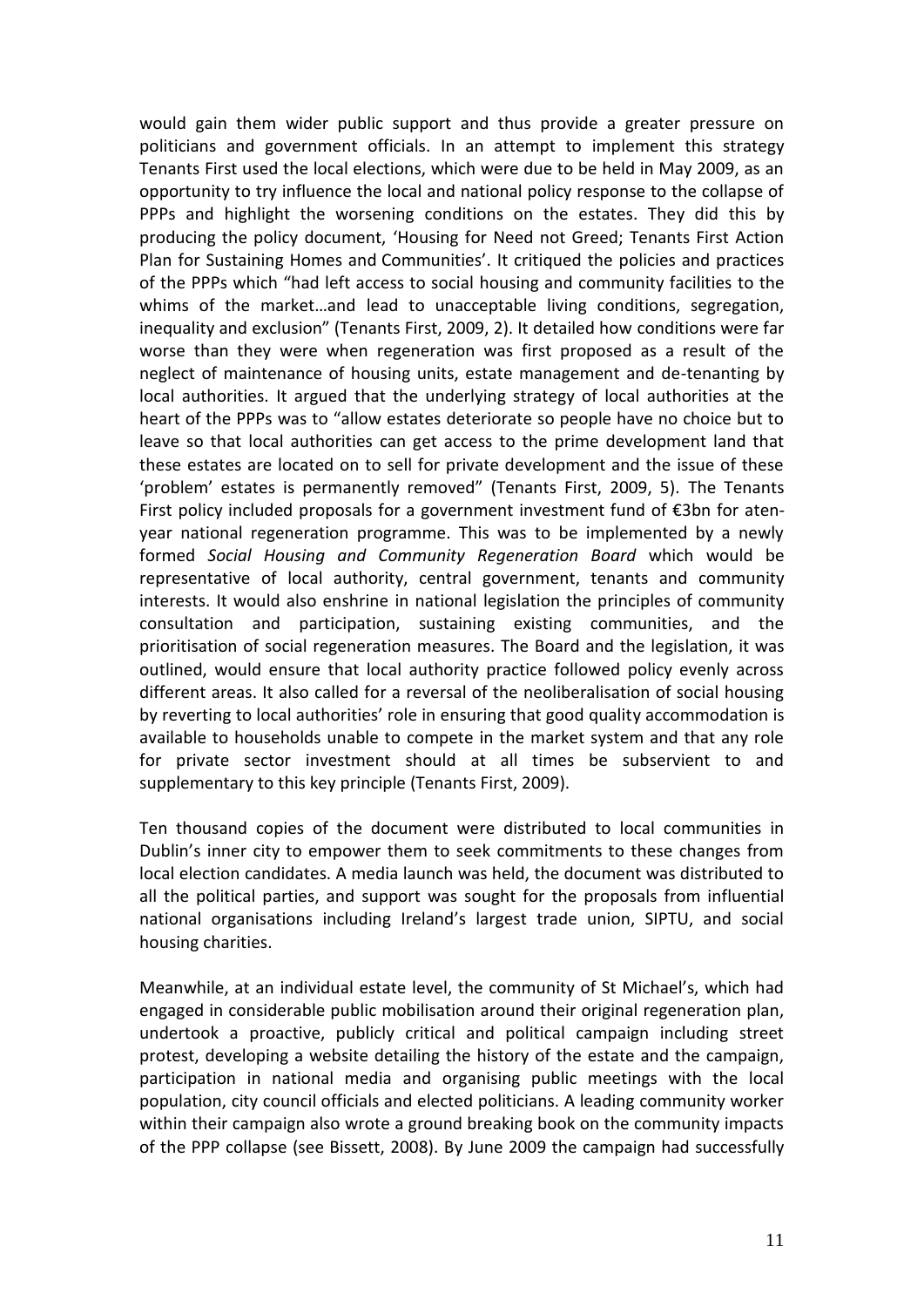would gain them wider public support and thus provide a greater pressure on politicians and government officials. In an attempt to implement this strategy Tenants First used the local elections, which were due to be held in May 2009, as an opportunity to try influence the local and national policy response to the collapse of PPPs and highlight the worsening conditions on the estates. They did this by producing the policy document, 'Housing for Need not Greed; Tenants First Action Plan for Sustaining Homes and Communities'. It critiqued the policies and practices of the PPPs which "had left access to social housing and community facilities to the whims of the market…and lead to unacceptable living conditions, segregation, inequality and exclusion" (Tenants First, 2009, 2). It detailed how conditions were far worse than they were when regeneration was first proposed as a result of the neglect of maintenance of housing units, estate management and de-tenanting by local authorities. It argued that the underlying strategy of local authorities at the heart of the PPPs was to "allow estates deteriorate so people have no choice but to leave so that local authorities can get access to the prime development land that these estates are located on to sell for private development and the issue of these 'problem' estates is permanently removed" (Tenants First, 2009, 5). The Tenants First policy included proposals for a government investment fund of €3bn for atenyear national regeneration programme. This was to be implemented by a newly formed *Social Housing and Community Regeneration Board* which would be representative of local authority, central government, tenants and community interests. It would also enshrine in national legislation the principles of community consultation and participation, sustaining existing communities, and the prioritisation of social regeneration measures. The Board and the legislation, it was outlined, would ensure that local authority practice followed policy evenly across different areas. It also called for a reversal of the neoliberalisation of social housing by reverting to local authorities' role in ensuring that good quality accommodation is available to households unable to compete in the market system and that any role for private sector investment should at all times be subservient to and supplementary to this key principle (Tenants First, 2009).

Ten thousand copies of the document were distributed to local communities in Dublin's inner city to empower them to seek commitments to these changes from local election candidates. A media launch was held, the document was distributed to all the political parties, and support was sought for the proposals from influential national organisations including Ireland's largest trade union, SIPTU, and social housing charities.

Meanwhile, at an individual estate level, the community of St Michael's, which had engaged in considerable public mobilisation around their original regeneration plan, undertook a proactive, publicly critical and political campaign including street protest, developing a website detailing the history of the estate and the campaign, participation in national media and organising public meetings with the local population, city council officials and elected politicians. A leading community worker within their campaign also wrote a ground breaking book on the community impacts of the PPP collapse (see Bissett, 2008). By June 2009 the campaign had successfully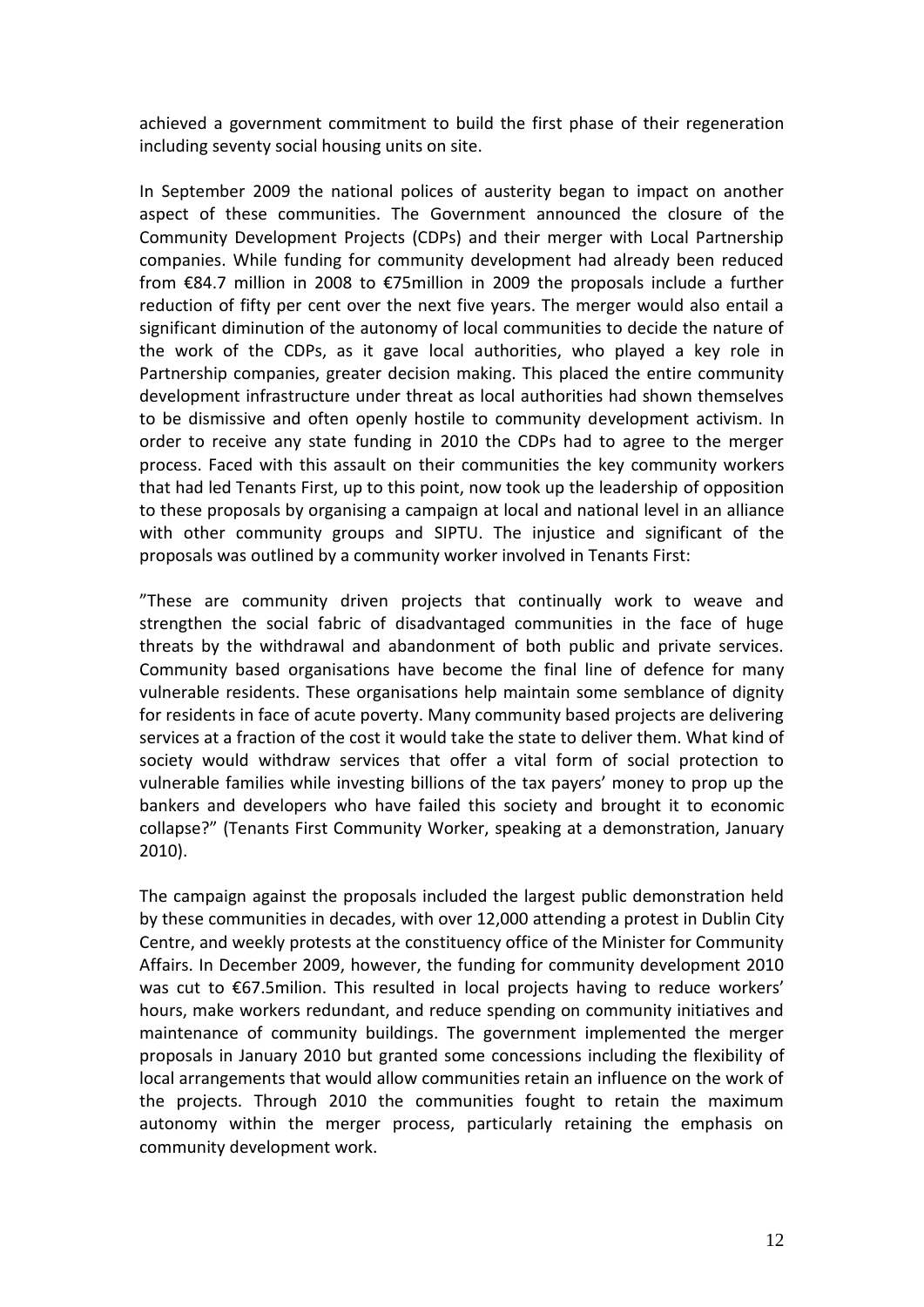achieved a government commitment to build the first phase of their regeneration including seventy social housing units on site.

In September 2009 the national polices of austerity began to impact on another aspect of these communities. The Government announced the closure of the Community Development Projects (CDPs) and their merger with Local Partnership companies. While funding for community development had already been reduced from €84.7 million in 2008 to €75million in 2009 the proposals include a further reduction of fifty per cent over the next five years. The merger would also entail a significant diminution of the autonomy of local communities to decide the nature of the work of the CDPs, as it gave local authorities, who played a key role in Partnership companies, greater decision making. This placed the entire community development infrastructure under threat as local authorities had shown themselves to be dismissive and often openly hostile to community development activism. In order to receive any state funding in 2010 the CDPs had to agree to the merger process. Faced with this assault on their communities the key community workers that had led Tenants First, up to this point, now took up the leadership of opposition to these proposals by organising a campaign at local and national level in an alliance with other community groups and SIPTU. The injustice and significant of the proposals was outlined by a community worker involved in Tenants First:

"These are community driven projects that continually work to weave and strengthen the social fabric of disadvantaged communities in the face of huge threats by the withdrawal and abandonment of both public and private services. Community based organisations have become the final line of defence for many vulnerable residents. These organisations help maintain some semblance of dignity for residents in face of acute poverty. Many community based projects are delivering services at a fraction of the cost it would take the state to deliver them. What kind of society would withdraw services that offer a vital form of social protection to vulnerable families while investing billions of the tax payers' money to prop up the bankers and developers who have failed this society and brought it to economic collapse?" (Tenants First Community Worker, speaking at a demonstration, January 2010).

The campaign against the proposals included the largest public demonstration held by these communities in decades, with over 12,000 attending a protest in Dublin City Centre, and weekly protests at the constituency office of the Minister for Community Affairs. In December 2009, however, the funding for community development 2010 was cut to €67.5milion. This resulted in local projects having to reduce workers' hours, make workers redundant, and reduce spending on community initiatives and maintenance of community buildings. The government implemented the merger proposals in January 2010 but granted some concessions including the flexibility of local arrangements that would allow communities retain an influence on the work of the projects. Through 2010 the communities fought to retain the maximum autonomy within the merger process, particularly retaining the emphasis on community development work.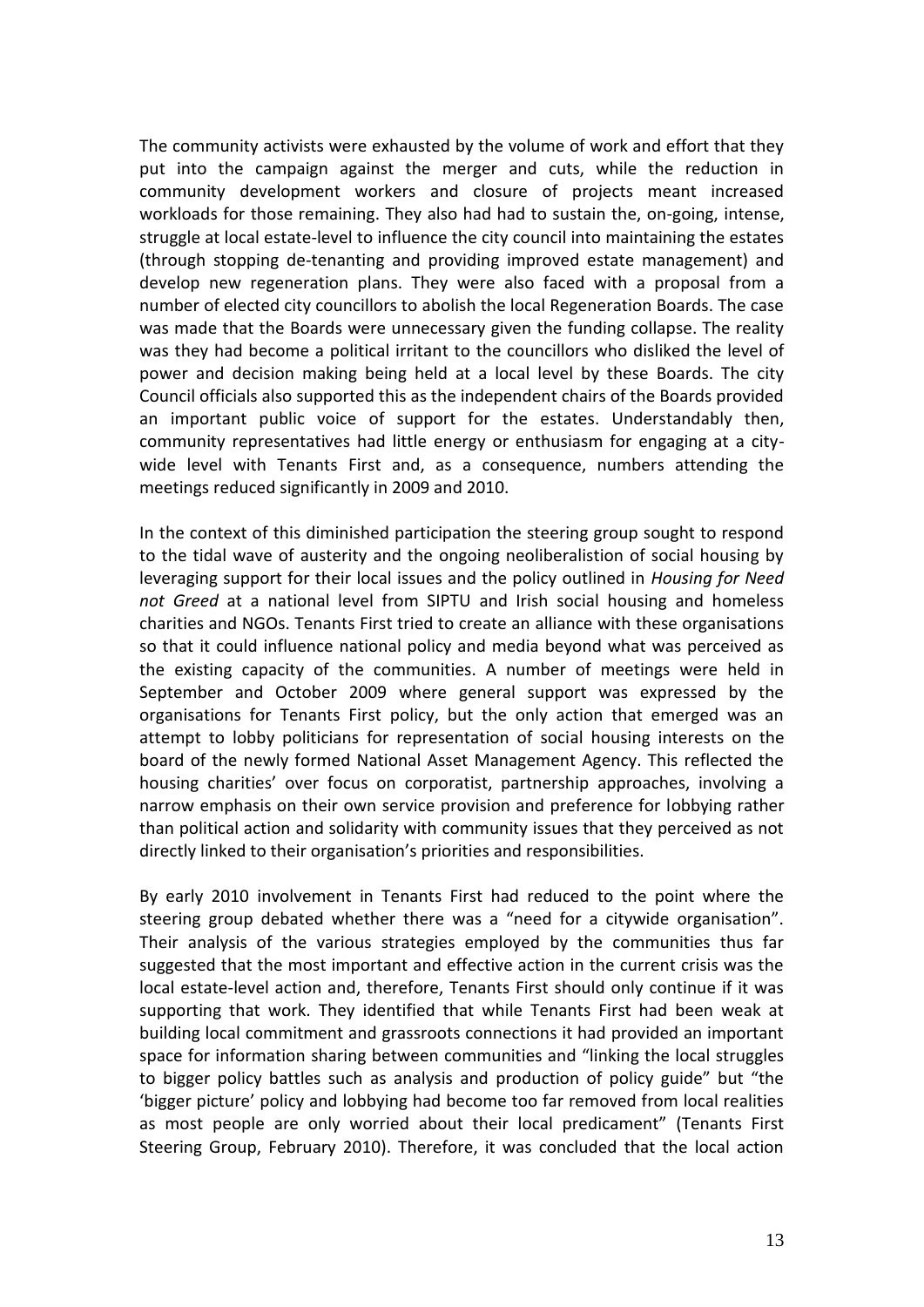The community activists were exhausted by the volume of work and effort that they put into the campaign against the merger and cuts, while the reduction in community development workers and closure of projects meant increased workloads for those remaining. They also had had to sustain the, on-going, intense, struggle at local estate-level to influence the city council into maintaining the estates (through stopping de-tenanting and providing improved estate management) and develop new regeneration plans. They were also faced with a proposal from a number of elected city councillors to abolish the local Regeneration Boards. The case was made that the Boards were unnecessary given the funding collapse. The reality was they had become a political irritant to the councillors who disliked the level of power and decision making being held at a local level by these Boards. The city Council officials also supported this as the independent chairs of the Boards provided an important public voice of support for the estates. Understandably then, community representatives had little energy or enthusiasm for engaging at a citywide level with Tenants First and, as a consequence, numbers attending the meetings reduced significantly in 2009 and 2010.

In the context of this diminished participation the steering group sought to respond to the tidal wave of austerity and the ongoing neoliberalistion of social housing by leveraging support for their local issues and the policy outlined in *Housing for Need not Greed* at a national level from SIPTU and Irish social housing and homeless charities and NGOs. Tenants First tried to create an alliance with these organisations so that it could influence national policy and media beyond what was perceived as the existing capacity of the communities. A number of meetings were held in September and October 2009 where general support was expressed by the organisations for Tenants First policy, but the only action that emerged was an attempt to lobby politicians for representation of social housing interests on the board of the newly formed National Asset Management Agency. This reflected the housing charities' over focus on corporatist, partnership approaches, involving a narrow emphasis on their own service provision and preference for lobbying rather than political action and solidarity with community issues that they perceived as not directly linked to their organisation's priorities and responsibilities.

By early 2010 involvement in Tenants First had reduced to the point where the steering group debated whether there was a "need for a citywide organisation". Their analysis of the various strategies employed by the communities thus far suggested that the most important and effective action in the current crisis was the local estate-level action and, therefore, Tenants First should only continue if it was supporting that work. They identified that while Tenants First had been weak at building local commitment and grassroots connections it had provided an important space for information sharing between communities and "linking the local struggles to bigger policy battles such as analysis and production of policy guide" but "the 'bigger picture' policy and lobbying had become too far removed from local realities as most people are only worried about their local predicament" (Tenants First Steering Group, February 2010). Therefore, it was concluded that the local action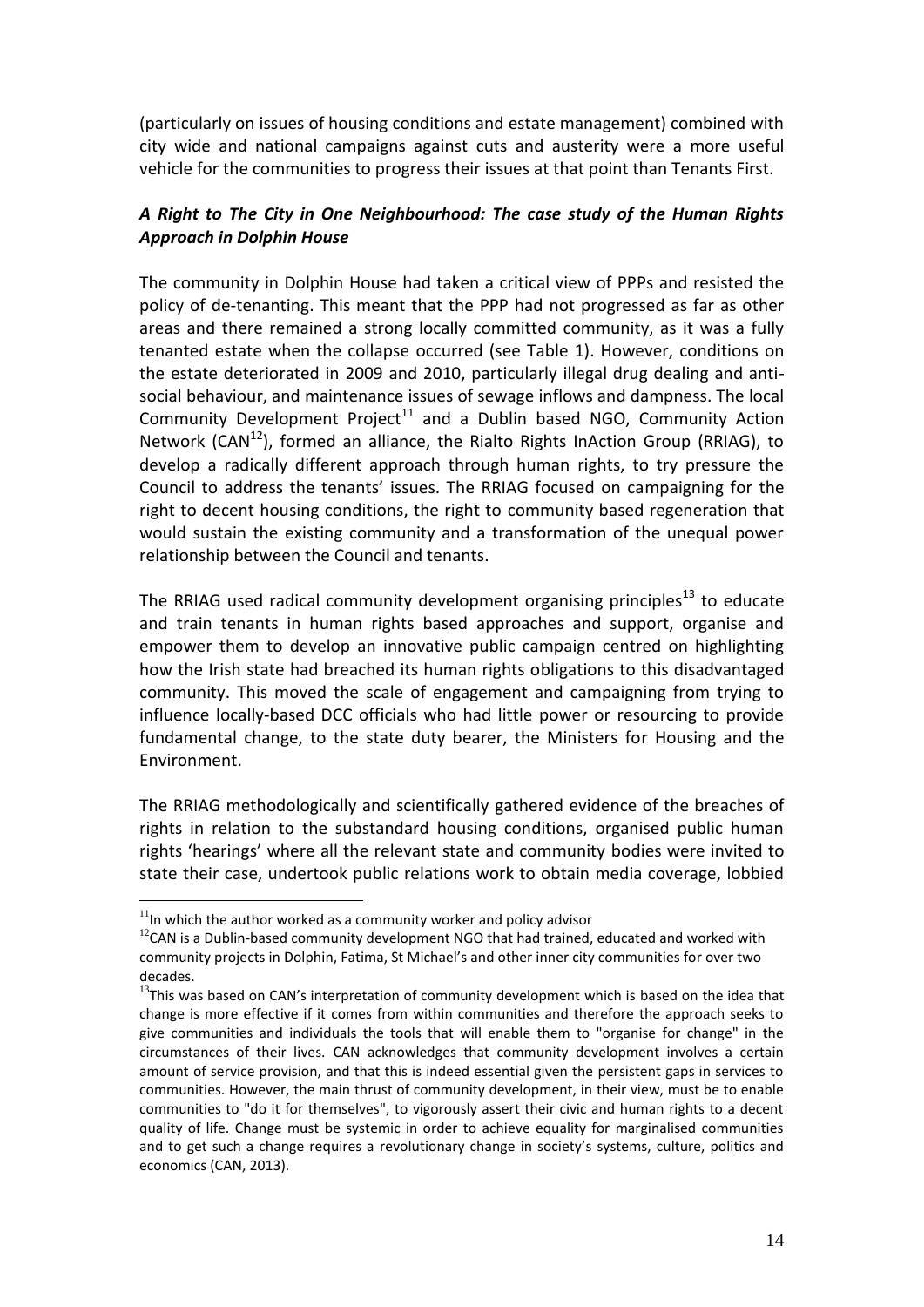(particularly on issues of housing conditions and estate management) combined with city wide and national campaigns against cuts and austerity were a more useful vehicle for the communities to progress their issues at that point than Tenants First.

## *A Right to The City in One Neighbourhood: The case study of the Human Rights Approach in Dolphin House*

The community in Dolphin House had taken a critical view of PPPs and resisted the policy of de-tenanting. This meant that the PPP had not progressed as far as other areas and there remained a strong locally committed community, as it was a fully tenanted estate when the collapse occurred (see Table 1). However, conditions on the estate deteriorated in 2009 and 2010, particularly illegal drug dealing and antisocial behaviour, and maintenance issues of sewage inflows and dampness. The local Community Development Project<sup>11</sup> and a Dublin based NGO, Community Action Network (CAN<sup>12</sup>), formed an alliance, the Rialto Rights InAction Group (RRIAG), to develop a radically different approach through human rights, to try pressure the Council to address the tenants' issues. The RRIAG focused on campaigning for the right to decent housing conditions, the right to community based regeneration that would sustain the existing community and a transformation of the unequal power relationship between the Council and tenants.

The RRIAG used radical community development organising principles<sup>13</sup> to educate and train tenants in human rights based approaches and support, organise and empower them to develop an innovative public campaign centred on highlighting how the Irish state had breached its human rights obligations to this disadvantaged community. This moved the scale of engagement and campaigning from trying to influence locally-based DCC officials who had little power or resourcing to provide fundamental change, to the state duty bearer, the Ministers for Housing and the Environment.

The RRIAG methodologically and scientifically gathered evidence of the breaches of rights in relation to the substandard housing conditions, organised public human rights 'hearings' where all the relevant state and community bodies were invited to state their case, undertook public relations work to obtain media coverage, lobbied

 $11$ In which the author worked as a community worker and policy advisor

 $12$ CAN is a Dublin-based community development NGO that had trained, educated and worked with community projects in Dolphin, Fatima, St Michael's and other inner city communities for over two decades.

<sup>&</sup>lt;sup>13</sup>This was based on CAN's interpretation of community development which is based on the idea that change is more effective if it comes from within communities and therefore the approach seeks to give communities and individuals the tools that will enable them to "organise for change" in the circumstances of their lives. CAN acknowledges that community development involves a certain amount of service provision, and that this is indeed essential given the persistent gaps in services to communities. However, the main thrust of community development, in their view, must be to enable communities to "do it for themselves", to vigorously assert their civic and human rights to a decent quality of life. Change must be systemic in order to achieve equality for marginalised communities and to get such a change requires a revolutionary change in society's systems, culture, politics and economics (CAN, 2013).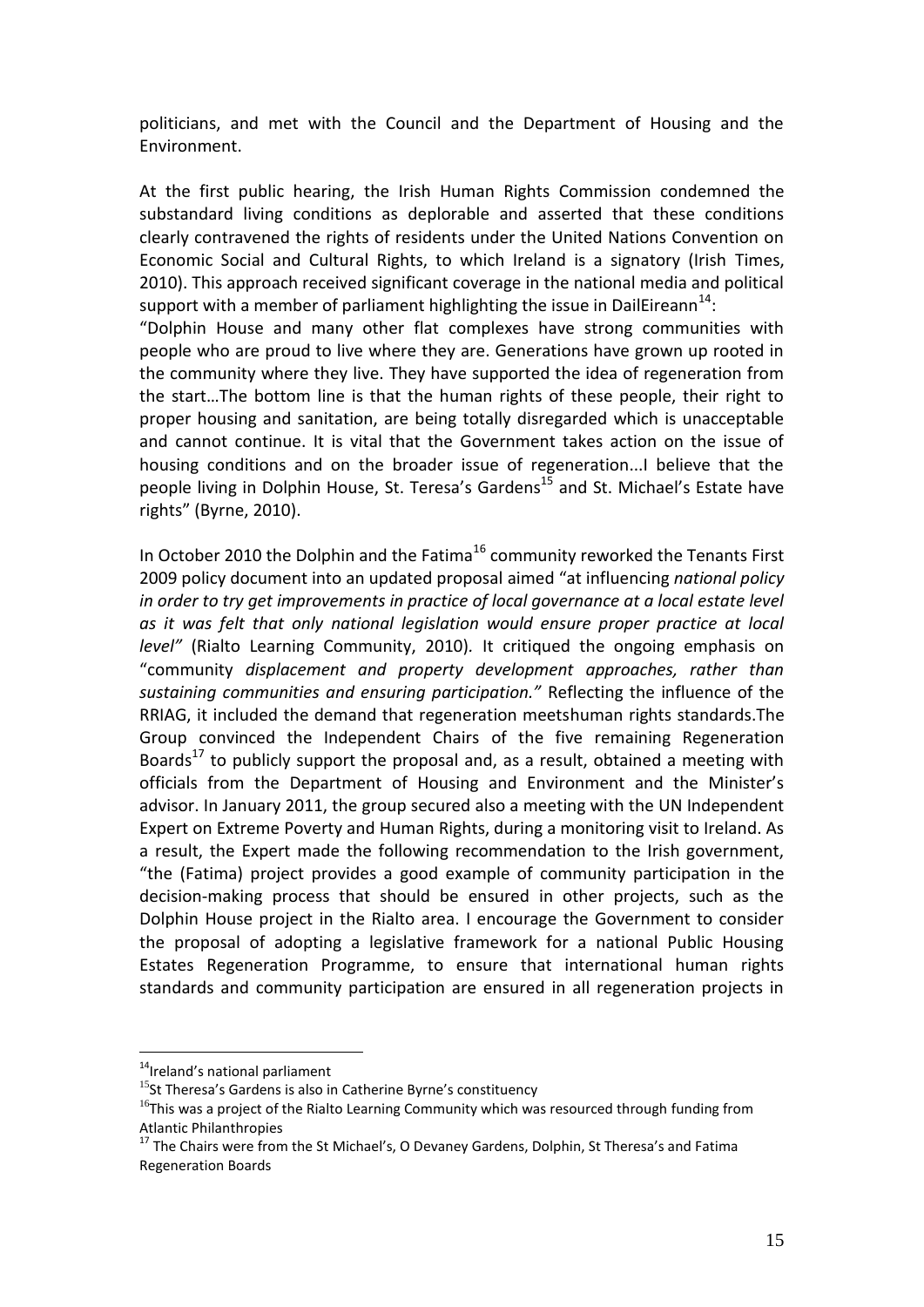politicians, and met with the Council and the Department of Housing and the Environment.

At the first public hearing, the Irish Human Rights Commission condemned the substandard living conditions as deplorable and asserted that these conditions clearly contravened the rights of residents under the United Nations Convention on Economic Social and Cultural Rights, to which Ireland is a signatory (Irish Times, 2010). This approach received significant coverage in the national media and political support with a member of parliament highlighting the issue in DailEireann<sup>14</sup>:

"Dolphin House and many other flat complexes have strong communities with people who are proud to live where they are. Generations have grown up rooted in the community where they live. They have supported the idea of regeneration from the start…The bottom line is that the human rights of these people, their right to proper housing and sanitation, are being totally disregarded which is unacceptable and cannot continue. It is vital that the Government takes action on the issue of housing conditions and on the broader issue of regeneration...I believe that the people living in Dolphin House, St. Teresa's Gardens<sup>15</sup> and St. Michael's Estate have rights" (Byrne, 2010).

In October 2010 the Dolphin and the Fatima<sup>16</sup> community reworked the Tenants First 2009 policy document into an updated proposal aimed "at influencing *national policy in order to try get improvements in practice of local governance at a local estate level as it was felt that only national legislation would ensure proper practice at local level"* (Rialto Learning Community, 2010)*.* It critiqued the ongoing emphasis on "community *displacement and property development approaches, rather than sustaining communities and ensuring participation."* Reflecting the influence of the RRIAG, it included the demand that regeneration meetshuman rights standards.The Group convinced the Independent Chairs of the five remaining Regeneration Boards<sup>17</sup> to publicly support the proposal and, as a result, obtained a meeting with officials from the Department of Housing and Environment and the Minister's advisor. In January 2011, the group secured also a meeting with the UN Independent Expert on Extreme Poverty and Human Rights, during a monitoring visit to Ireland. As a result, the Expert made the following recommendation to the Irish government, "the (Fatima) project provides a good example of community participation in the decision-making process that should be ensured in other projects, such as the Dolphin House project in the Rialto area. I encourage the Government to consider the proposal of adopting a legislative framework for a national Public Housing Estates Regeneration Programme, to ensure that international human rights standards and community participation are ensured in all regeneration projects in

<sup>&</sup>lt;sup>14</sup>Ireland's national parliament

 $15$ St Theresa's Gardens is also in Catherine Byrne's constituency

 $16$ This was a project of the Rialto Learning Community which was resourced through funding from Atlantic Philanthropies

 $17$  The Chairs were from the St Michael's, O Devaney Gardens, Dolphin, St Theresa's and Fatima Regeneration Boards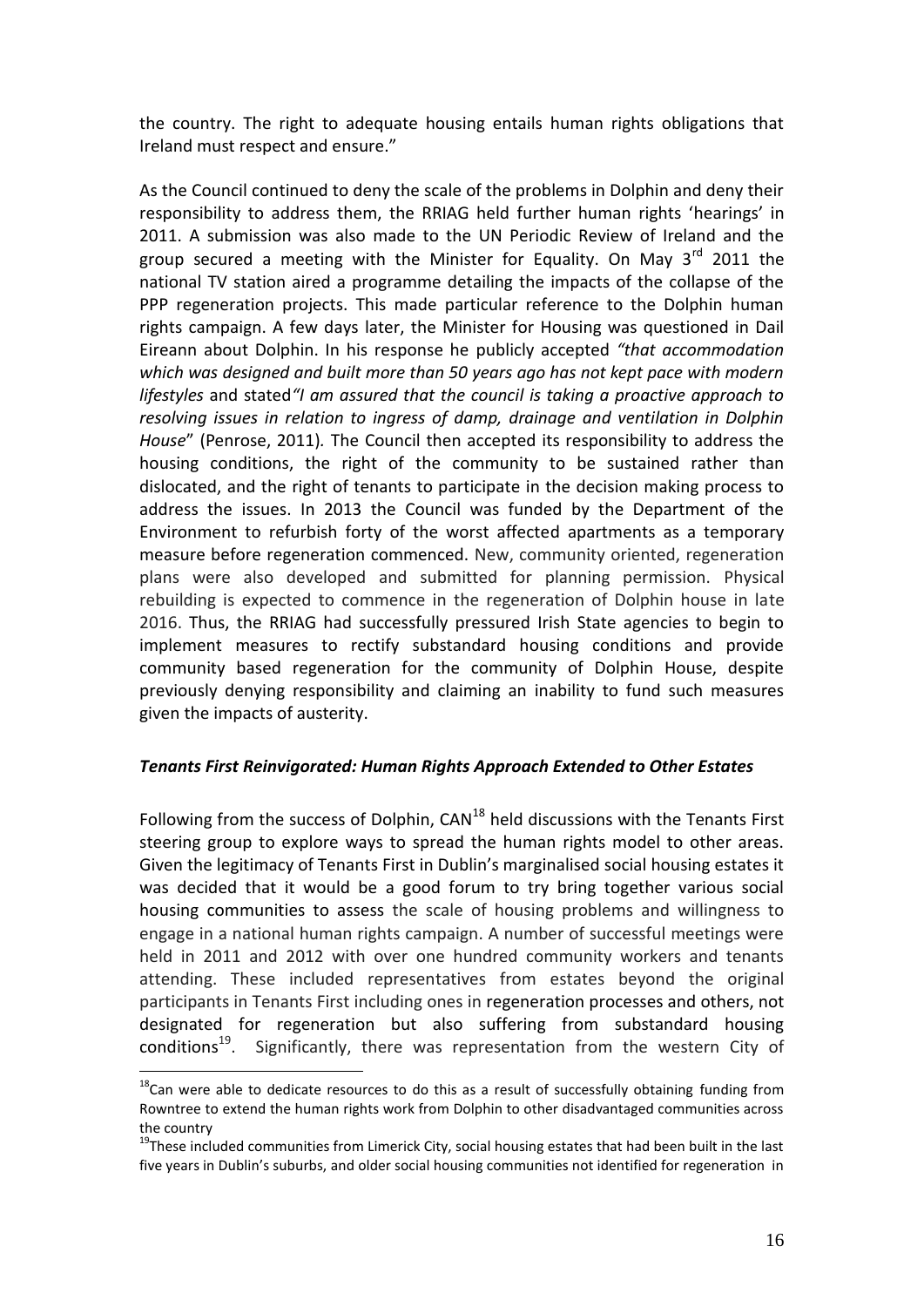the country. The right to adequate housing entails human rights obligations that Ireland must respect and ensure."

As the Council continued to deny the scale of the problems in Dolphin and deny their responsibility to address them, the RRIAG held further human rights 'hearings' in 2011. A submission was also made to the UN Periodic Review of Ireland and the group secured a meeting with the Minister for Equality. On May  $3^{rd}$  2011 the national TV station aired a programme detailing the impacts of the collapse of the PPP regeneration projects. This made particular reference to the Dolphin human rights campaign. A few days later, the Minister for Housing was questioned in Dail Eireann about Dolphin. In his response he publicly accepted *"that accommodation which was designed and built more than 50 years ago has not kept pace with modern lifestyles* and stated*"I am assured that the council is taking a proactive approach to resolving issues in relation to ingress of damp, drainage and ventilation in Dolphin House*" (Penrose, 2011)*.* The Council then accepted its responsibility to address the housing conditions, the right of the community to be sustained rather than dislocated, and the right of tenants to participate in the decision making process to address the issues. In 2013 the Council was funded by the Department of the Environment to refurbish forty of the worst affected apartments as a temporary measure before regeneration commenced. New, community oriented, regeneration plans were also developed and submitted for planning permission. Physical rebuilding is expected to commence in the regeneration of Dolphin house in late 2016. Thus, the RRIAG had successfully pressured Irish State agencies to begin to implement measures to rectify substandard housing conditions and provide community based regeneration for the community of Dolphin House, despite previously denying responsibility and claiming an inability to fund such measures given the impacts of austerity.

#### *Tenants First Reinvigorated: Human Rights Approach Extended to Other Estates*

Following from the success of Dolphin,  $CAN<sup>18</sup>$  held discussions with the Tenants First steering group to explore ways to spread the human rights model to other areas. Given the legitimacy of Tenants First in Dublin's marginalised social housing estates it was decided that it would be a good forum to try bring together various social housing communities to assess the scale of housing problems and willingness to engage in a national human rights campaign. A number of successful meetings were held in 2011 and 2012 with over one hundred community workers and tenants attending. These included representatives from estates beyond the original participants in Tenants First including ones in regeneration processes and others, not designated for regeneration but also suffering from substandard housing conditions<sup>19</sup>. Significantly, there was representation from the western City of

 $18$ Can were able to dedicate resources to do this as a result of successfully obtaining funding from Rowntree to extend the human rights work from Dolphin to other disadvantaged communities across the country

 $19$ These included communities from Limerick City, social housing estates that had been built in the last five years in Dublin's suburbs, and older social housing communities not identified for regeneration in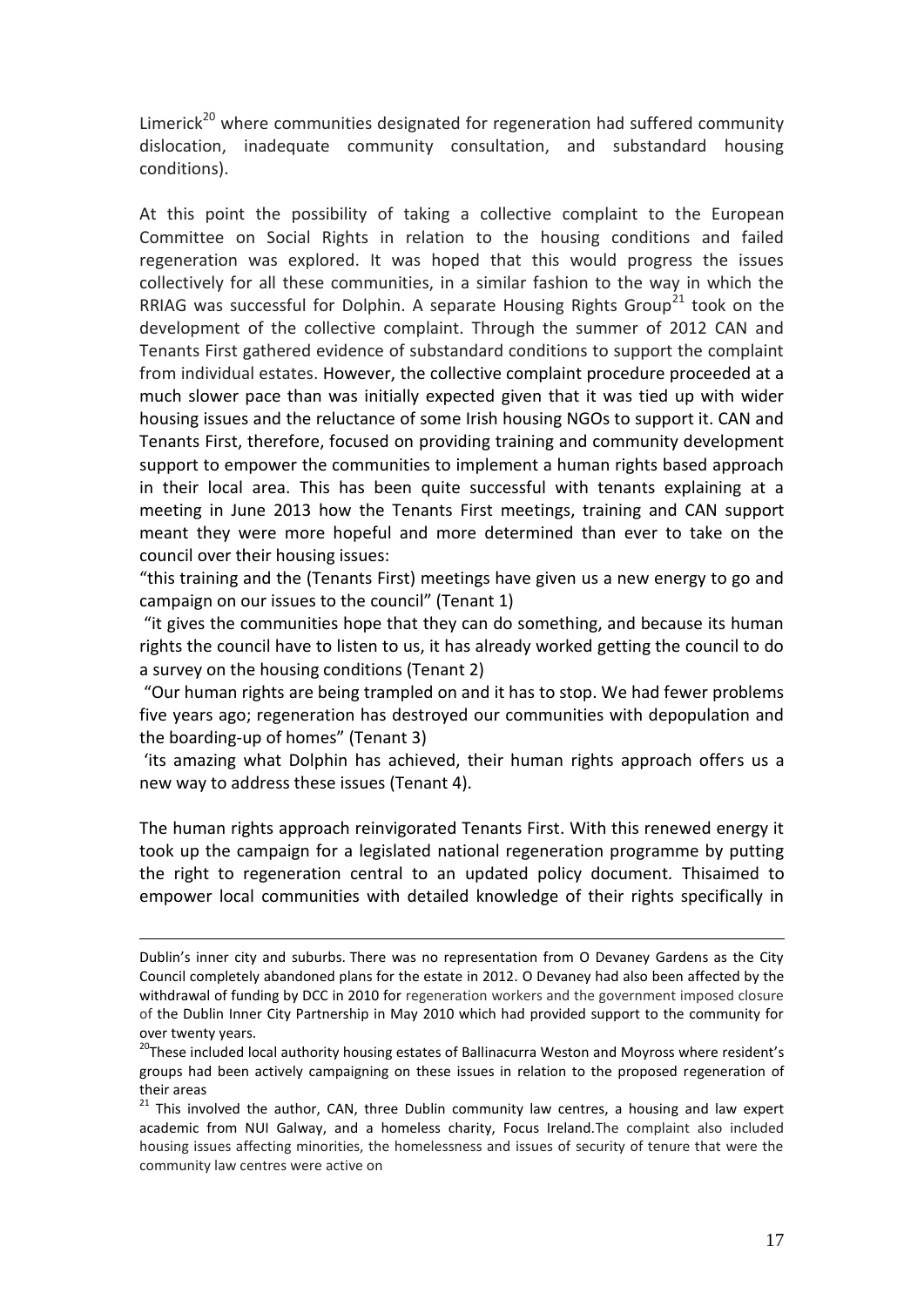Limerick<sup>20</sup> where communities designated for regeneration had suffered community dislocation, inadequate community consultation, and substandard housing conditions).

At this point the possibility of taking a collective complaint to the European Committee on Social Rights in relation to the housing conditions and failed regeneration was explored. It was hoped that this would progress the issues collectively for all these communities, in a similar fashion to the way in which the RRIAG was successful for Dolphin. A separate Housing Rights Group<sup>21</sup> took on the development of the collective complaint. Through the summer of 2012 CAN and Tenants First gathered evidence of substandard conditions to support the complaint from individual estates. However, the collective complaint procedure proceeded at a much slower pace than was initially expected given that it was tied up with wider housing issues and the reluctance of some Irish housing NGOs to support it. CAN and Tenants First, therefore, focused on providing training and community development support to empower the communities to implement a human rights based approach in their local area. This has been quite successful with tenants explaining at a meeting in June 2013 how the Tenants First meetings, training and CAN support meant they were more hopeful and more determined than ever to take on the council over their housing issues:

"this training and the (Tenants First) meetings have given us a new energy to go and campaign on our issues to the council" (Tenant 1)

"it gives the communities hope that they can do something, and because its human rights the council have to listen to us, it has already worked getting the council to do a survey on the housing conditions (Tenant 2)

"Our human rights are being trampled on and it has to stop. We had fewer problems five years ago; regeneration has destroyed our communities with depopulation and the boarding-up of homes" (Tenant 3)

'its amazing what Dolphin has achieved, their human rights approach offers us a new way to address these issues (Tenant 4).

The human rights approach reinvigorated Tenants First. With this renewed energy it took up the campaign for a legislated national regeneration programme by putting the right to regeneration central to an updated policy document*.* Thisaimed to empower local communities with detailed knowledge of their rights specifically in

Dublin's inner city and suburbs. There was no representation from O Devaney Gardens as the City Council completely abandoned plans for the estate in 2012. O Devaney had also been affected by the withdrawal of funding by DCC in 2010 for regeneration workers and the government imposed closure of the Dublin Inner City Partnership in May 2010 which had provided support to the community for over twenty years.

<sup>&</sup>lt;sup>20</sup>These included local authority housing estates of Ballinacurra Weston and Moyross where resident's groups had been actively campaigning on these issues in relation to the proposed regeneration of their areas

<sup>21</sup> This involved the author, CAN, three Dublin community law centres, a housing and law expert academic from NUI Galway, and a homeless charity, Focus Ireland.The complaint also included housing issues affecting minorities, the homelessness and issues of security of tenure that were the community law centres were active on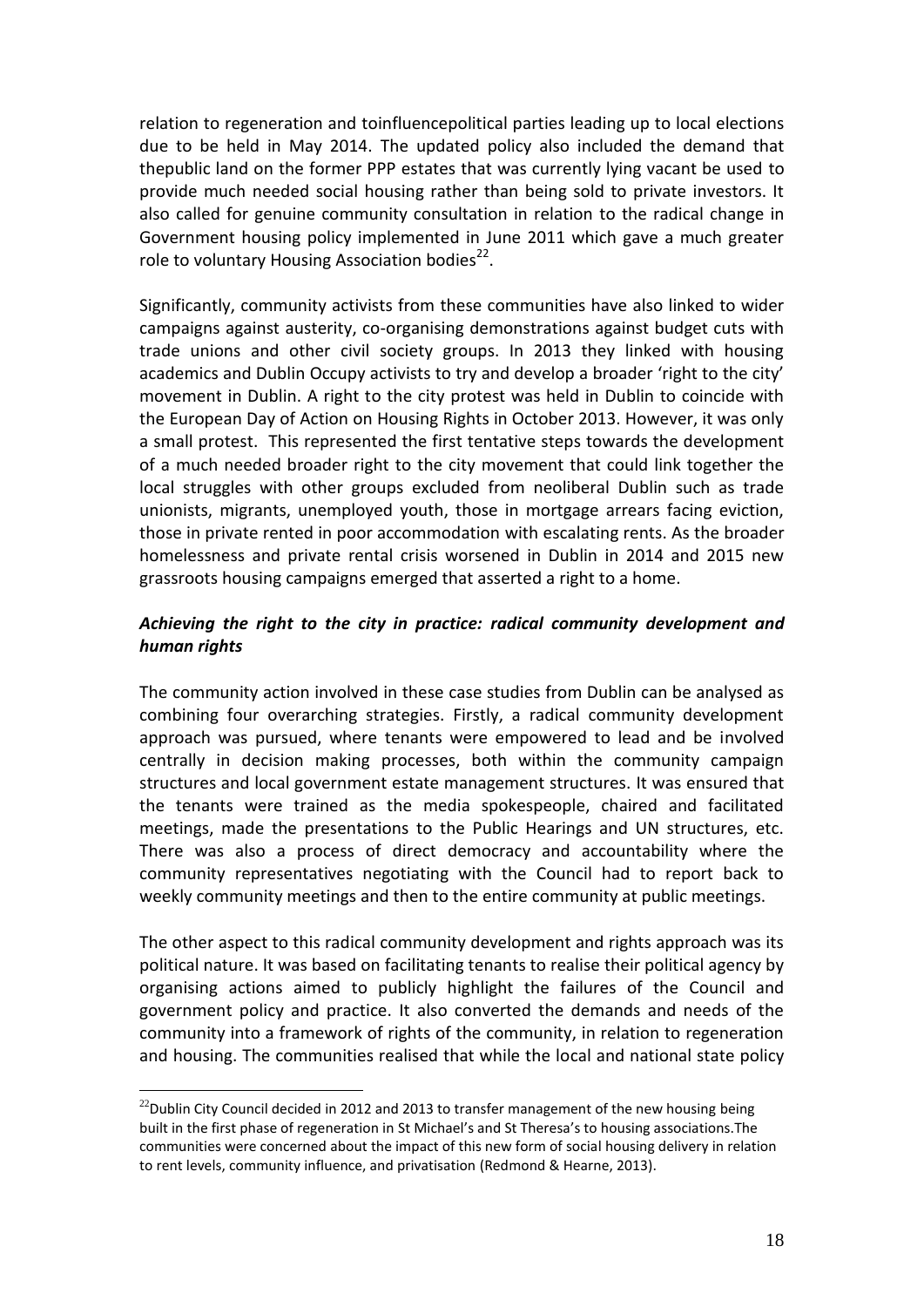relation to regeneration and toinfluencepolitical parties leading up to local elections due to be held in May 2014. The updated policy also included the demand that thepublic land on the former PPP estates that was currently lying vacant be used to provide much needed social housing rather than being sold to private investors. It also called for genuine community consultation in relation to the radical change in Government housing policy implemented in June 2011 which gave a much greater role to voluntary Housing Association bodies<sup>22</sup>.

Significantly, community activists from these communities have also linked to wider campaigns against austerity, co-organising demonstrations against budget cuts with trade unions and other civil society groups. In 2013 they linked with housing academics and Dublin Occupy activists to try and develop a broader 'right to the city' movement in Dublin. A right to the city protest was held in Dublin to coincide with the European Day of Action on Housing Rights in October 2013. However, it was only a small protest. This represented the first tentative steps towards the development of a much needed broader right to the city movement that could link together the local struggles with other groups excluded from neoliberal Dublin such as trade unionists, migrants, unemployed youth, those in mortgage arrears facing eviction, those in private rented in poor accommodation with escalating rents. As the broader homelessness and private rental crisis worsened in Dublin in 2014 and 2015 new grassroots housing campaigns emerged that asserted a right to a home.

#### *Achieving the right to the city in practice: radical community development and human rights*

The community action involved in these case studies from Dublin can be analysed as combining four overarching strategies. Firstly, a radical community development approach was pursued, where tenants were empowered to lead and be involved centrally in decision making processes, both within the community campaign structures and local government estate management structures. It was ensured that the tenants were trained as the media spokespeople, chaired and facilitated meetings, made the presentations to the Public Hearings and UN structures, etc. There was also a process of direct democracy and accountability where the community representatives negotiating with the Council had to report back to weekly community meetings and then to the entire community at public meetings.

The other aspect to this radical community development and rights approach was its political nature. It was based on facilitating tenants to realise their political agency by organising actions aimed to publicly highlight the failures of the Council and government policy and practice. It also converted the demands and needs of the community into a framework of rights of the community, in relation to regeneration and housing. The communities realised that while the local and national state policy

 $^{22}$ Dublin City Council decided in 2012 and 2013 to transfer management of the new housing being built in the first phase of regeneration in St Michael's and St Theresa's to housing associations.The communities were concerned about the impact of this new form of social housing delivery in relation to rent levels, community influence, and privatisation (Redmond & Hearne, 2013).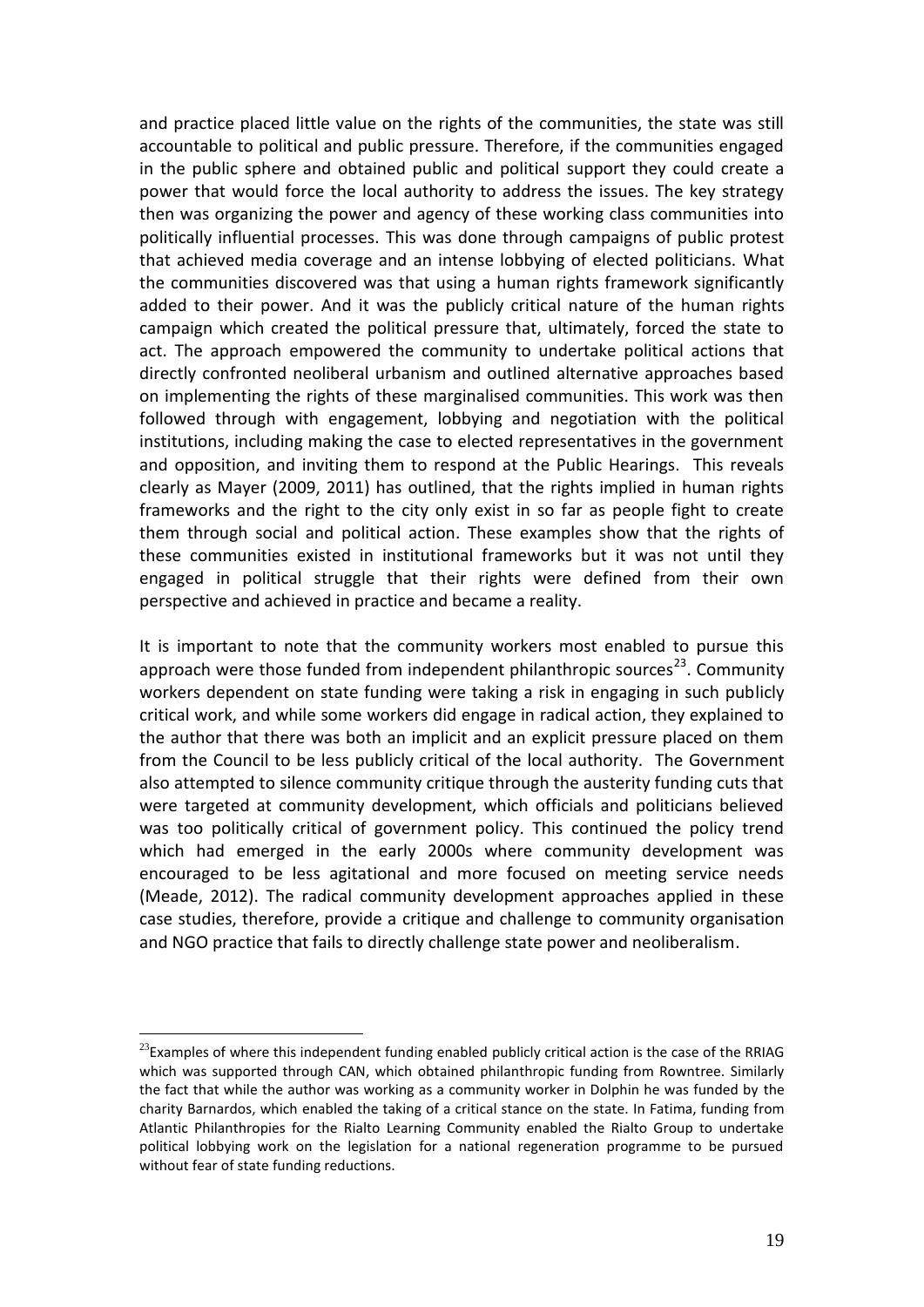and practice placed little value on the rights of the communities, the state was still accountable to political and public pressure. Therefore, if the communities engaged in the public sphere and obtained public and political support they could create a power that would force the local authority to address the issues. The key strategy then was organizing the power and agency of these working class communities into politically influential processes. This was done through campaigns of public protest that achieved media coverage and an intense lobbying of elected politicians. What the communities discovered was that using a human rights framework significantly added to their power. And it was the publicly critical nature of the human rights campaign which created the political pressure that, ultimately, forced the state to act. The approach empowered the community to undertake political actions that directly confronted neoliberal urbanism and outlined alternative approaches based on implementing the rights of these marginalised communities. This work was then followed through with engagement, lobbying and negotiation with the political institutions, including making the case to elected representatives in the government and opposition, and inviting them to respond at the Public Hearings. This reveals clearly as Mayer (2009, 2011) has outlined, that the rights implied in human rights frameworks and the right to the city only exist in so far as people fight to create them through social and political action. These examples show that the rights of these communities existed in institutional frameworks but it was not until they engaged in political struggle that their rights were defined from their own perspective and achieved in practice and became a reality.

It is important to note that the community workers most enabled to pursue this approach were those funded from independent philanthropic sources<sup>23</sup>. Community workers dependent on state funding were taking a risk in engaging in such publicly critical work, and while some workers did engage in radical action, they explained to the author that there was both an implicit and an explicit pressure placed on them from the Council to be less publicly critical of the local authority. The Government also attempted to silence community critique through the austerity funding cuts that were targeted at community development, which officials and politicians believed was too politically critical of government policy. This continued the policy trend which had emerged in the early 2000s where community development was encouraged to be less agitational and more focused on meeting service needs (Meade, 2012). The radical community development approaches applied in these case studies, therefore, provide a critique and challenge to community organisation and NGO practice that fails to directly challenge state power and neoliberalism.

 $^{23}$ Examples of where this independent funding enabled publicly critical action is the case of the RRIAG which was supported through CAN, which obtained philanthropic funding from Rowntree. Similarly the fact that while the author was working as a community worker in Dolphin he was funded by the charity Barnardos, which enabled the taking of a critical stance on the state. In Fatima, funding from Atlantic Philanthropies for the Rialto Learning Community enabled the Rialto Group to undertake political lobbying work on the legislation for a national regeneration programme to be pursued without fear of state funding reductions.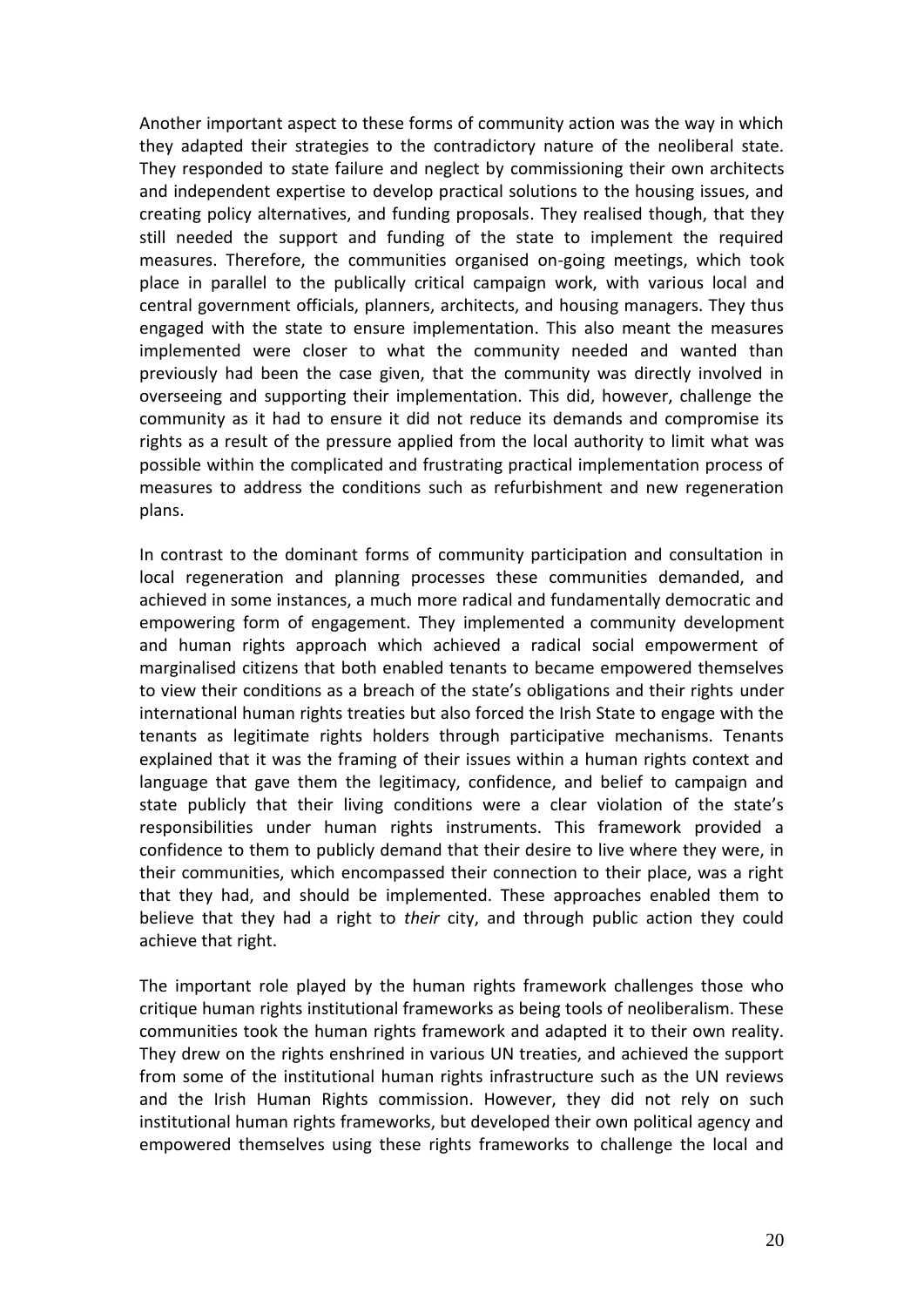Another important aspect to these forms of community action was the way in which they adapted their strategies to the contradictory nature of the neoliberal state. They responded to state failure and neglect by commissioning their own architects and independent expertise to develop practical solutions to the housing issues, and creating policy alternatives, and funding proposals. They realised though, that they still needed the support and funding of the state to implement the required measures. Therefore, the communities organised on-going meetings, which took place in parallel to the publically critical campaign work, with various local and central government officials, planners, architects, and housing managers. They thus engaged with the state to ensure implementation. This also meant the measures implemented were closer to what the community needed and wanted than previously had been the case given, that the community was directly involved in overseeing and supporting their implementation. This did, however, challenge the community as it had to ensure it did not reduce its demands and compromise its rights as a result of the pressure applied from the local authority to limit what was possible within the complicated and frustrating practical implementation process of measures to address the conditions such as refurbishment and new regeneration plans.

In contrast to the dominant forms of community participation and consultation in local regeneration and planning processes these communities demanded, and achieved in some instances, a much more radical and fundamentally democratic and empowering form of engagement. They implemented a community development and human rights approach which achieved a radical social empowerment of marginalised citizens that both enabled tenants to became empowered themselves to view their conditions as a breach of the state's obligations and their rights under international human rights treaties but also forced the Irish State to engage with the tenants as legitimate rights holders through participative mechanisms. Tenants explained that it was the framing of their issues within a human rights context and language that gave them the legitimacy, confidence, and belief to campaign and state publicly that their living conditions were a clear violation of the state's responsibilities under human rights instruments. This framework provided a confidence to them to publicly demand that their desire to live where they were, in their communities, which encompassed their connection to their place, was a right that they had, and should be implemented. These approaches enabled them to believe that they had a right to *their* city, and through public action they could achieve that right.

The important role played by the human rights framework challenges those who critique human rights institutional frameworks as being tools of neoliberalism. These communities took the human rights framework and adapted it to their own reality. They drew on the rights enshrined in various UN treaties, and achieved the support from some of the institutional human rights infrastructure such as the UN reviews and the Irish Human Rights commission. However, they did not rely on such institutional human rights frameworks, but developed their own political agency and empowered themselves using these rights frameworks to challenge the local and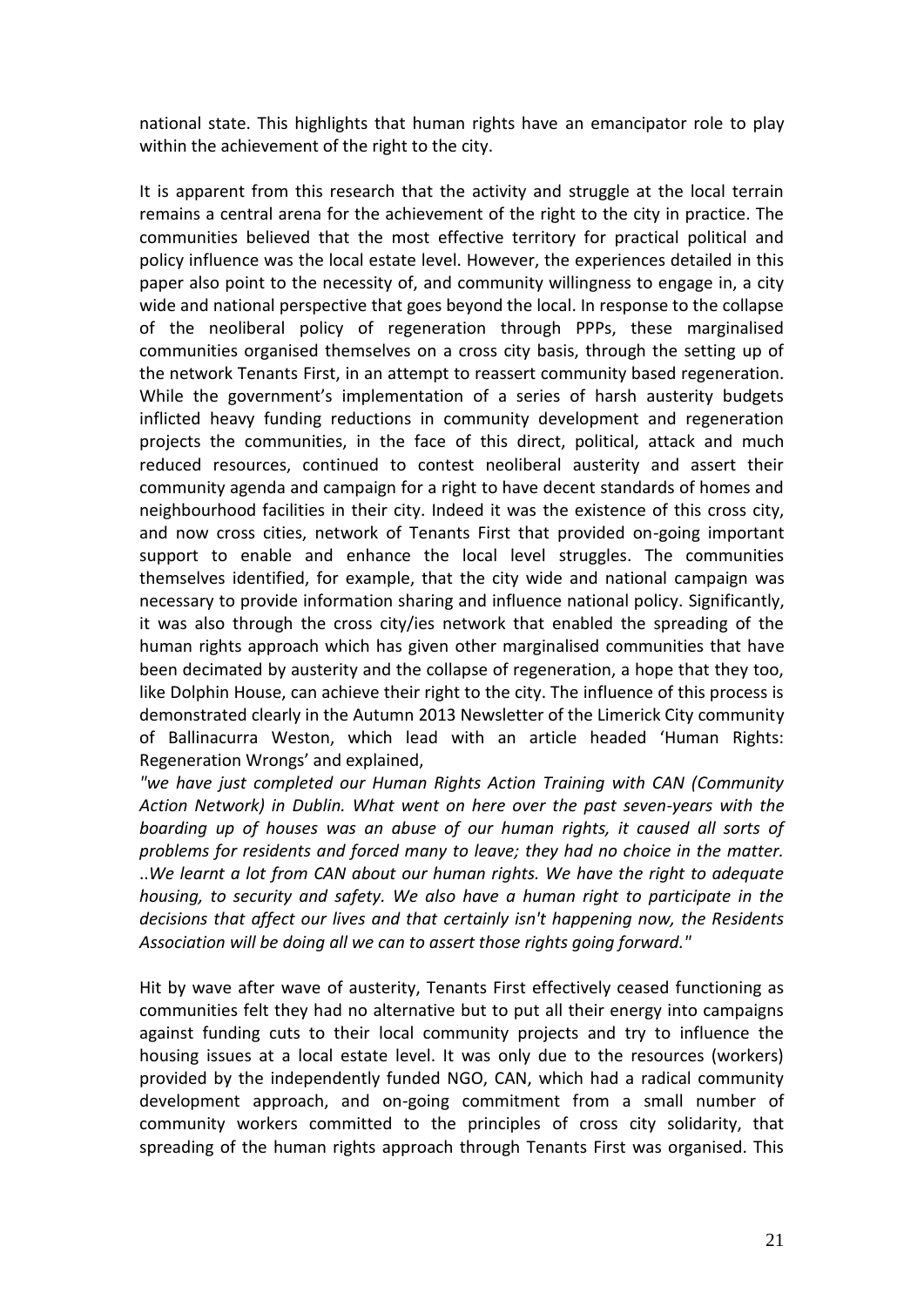national state. This highlights that human rights have an emancipator role to play within the achievement of the right to the city.

It is apparent from this research that the activity and struggle at the local terrain remains a central arena for the achievement of the right to the city in practice. The communities believed that the most effective territory for practical political and policy influence was the local estate level. However, the experiences detailed in this paper also point to the necessity of, and community willingness to engage in, a city wide and national perspective that goes beyond the local. In response to the collapse of the neoliberal policy of regeneration through PPPs, these marginalised communities organised themselves on a cross city basis, through the setting up of the network Tenants First, in an attempt to reassert community based regeneration. While the government's implementation of a series of harsh austerity budgets inflicted heavy funding reductions in community development and regeneration projects the communities, in the face of this direct, political, attack and much reduced resources, continued to contest neoliberal austerity and assert their community agenda and campaign for a right to have decent standards of homes and neighbourhood facilities in their city. Indeed it was the existence of this cross city, and now cross cities, network of Tenants First that provided on-going important support to enable and enhance the local level struggles. The communities themselves identified, for example, that the city wide and national campaign was necessary to provide information sharing and influence national policy. Significantly, it was also through the cross city/ies network that enabled the spreading of the human rights approach which has given other marginalised communities that have been decimated by austerity and the collapse of regeneration, a hope that they too, like Dolphin House, can achieve their right to the city. The influence of this process is demonstrated clearly in the Autumn 2013 Newsletter of the Limerick City community of Ballinacurra Weston, which lead with an article headed 'Human Rights: Regeneration Wrongs' and explained,

*"we have just completed our Human Rights Action Training with CAN (Community Action Network) in Dublin. What went on here over the past seven-years with the boarding up of houses was an abuse of our human rights, it caused all sorts of problems for residents and forced many to leave; they had no choice in the matter.*  ..*We learnt a lot from CAN about our human rights. We have the right to adequate housing, to security and safety. We also have a human right to participate in the decisions that affect our lives and that certainly isn't happening now, the Residents Association will be doing all we can to assert those rights going forward."* 

Hit by wave after wave of austerity, Tenants First effectively ceased functioning as communities felt they had no alternative but to put all their energy into campaigns against funding cuts to their local community projects and try to influence the housing issues at a local estate level. It was only due to the resources (workers) provided by the independently funded NGO, CAN, which had a radical community development approach, and on-going commitment from a small number of community workers committed to the principles of cross city solidarity, that spreading of the human rights approach through Tenants First was organised. This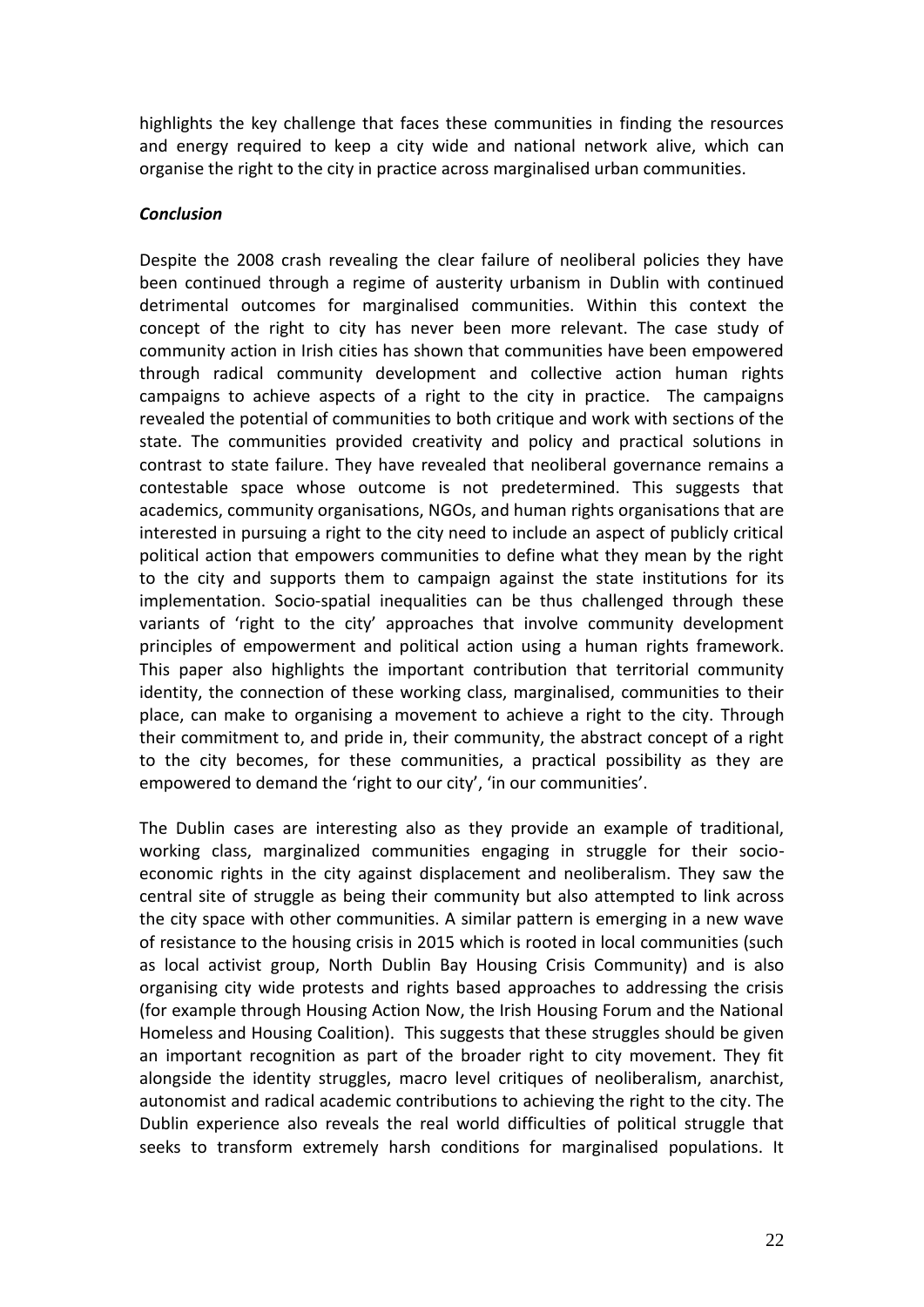highlights the key challenge that faces these communities in finding the resources and energy required to keep a city wide and national network alive, which can organise the right to the city in practice across marginalised urban communities.

#### *Conclusion*

Despite the 2008 crash revealing the clear failure of neoliberal policies they have been continued through a regime of austerity urbanism in Dublin with continued detrimental outcomes for marginalised communities. Within this context the concept of the right to city has never been more relevant. The case study of community action in Irish cities has shown that communities have been empowered through radical community development and collective action human rights campaigns to achieve aspects of a right to the city in practice. The campaigns revealed the potential of communities to both critique and work with sections of the state. The communities provided creativity and policy and practical solutions in contrast to state failure. They have revealed that neoliberal governance remains a contestable space whose outcome is not predetermined. This suggests that academics, community organisations, NGOs, and human rights organisations that are interested in pursuing a right to the city need to include an aspect of publicly critical political action that empowers communities to define what they mean by the right to the city and supports them to campaign against the state institutions for its implementation. Socio-spatial inequalities can be thus challenged through these variants of 'right to the city' approaches that involve community development principles of empowerment and political action using a human rights framework. This paper also highlights the important contribution that territorial community identity, the connection of these working class, marginalised, communities to their place, can make to organising a movement to achieve a right to the city. Through their commitment to, and pride in, their community, the abstract concept of a right to the city becomes, for these communities, a practical possibility as they are empowered to demand the 'right to our city', 'in our communities'.

The Dublin cases are interesting also as they provide an example of traditional, working class, marginalized communities engaging in struggle for their socioeconomic rights in the city against displacement and neoliberalism. They saw the central site of struggle as being their community but also attempted to link across the city space with other communities. A similar pattern is emerging in a new wave of resistance to the housing crisis in 2015 which is rooted in local communities (such as local activist group, North Dublin Bay Housing Crisis Community) and is also organising city wide protests and rights based approaches to addressing the crisis (for example through Housing Action Now, the Irish Housing Forum and the National Homeless and Housing Coalition). This suggests that these struggles should be given an important recognition as part of the broader right to city movement. They fit alongside the identity struggles, macro level critiques of neoliberalism, anarchist, autonomist and radical academic contributions to achieving the right to the city. The Dublin experience also reveals the real world difficulties of political struggle that seeks to transform extremely harsh conditions for marginalised populations. It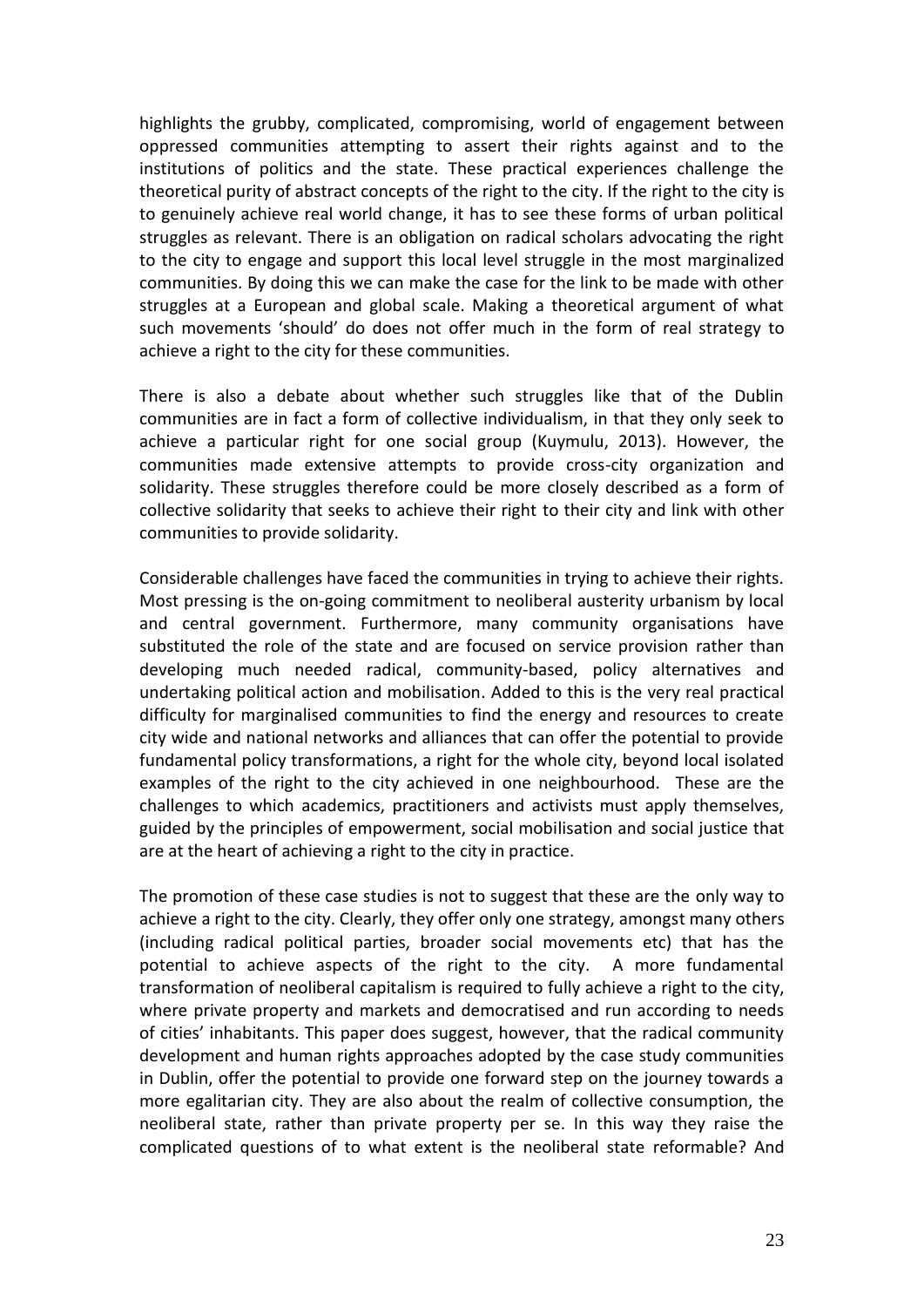highlights the grubby, complicated, compromising, world of engagement between oppressed communities attempting to assert their rights against and to the institutions of politics and the state. These practical experiences challenge the theoretical purity of abstract concepts of the right to the city. If the right to the city is to genuinely achieve real world change, it has to see these forms of urban political struggles as relevant. There is an obligation on radical scholars advocating the right to the city to engage and support this local level struggle in the most marginalized communities. By doing this we can make the case for the link to be made with other struggles at a European and global scale. Making a theoretical argument of what such movements 'should' do does not offer much in the form of real strategy to achieve a right to the city for these communities.

There is also a debate about whether such struggles like that of the Dublin communities are in fact a form of collective individualism, in that they only seek to achieve a particular right for one social group (Kuymulu, 2013). However, the communities made extensive attempts to provide cross-city organization and solidarity. These struggles therefore could be more closely described as a form of collective solidarity that seeks to achieve their right to their city and link with other communities to provide solidarity.

Considerable challenges have faced the communities in trying to achieve their rights. Most pressing is the on-going commitment to neoliberal austerity urbanism by local and central government. Furthermore, many community organisations have substituted the role of the state and are focused on service provision rather than developing much needed radical, community-based, policy alternatives and undertaking political action and mobilisation. Added to this is the very real practical difficulty for marginalised communities to find the energy and resources to create city wide and national networks and alliances that can offer the potential to provide fundamental policy transformations, a right for the whole city, beyond local isolated examples of the right to the city achieved in one neighbourhood. These are the challenges to which academics, practitioners and activists must apply themselves, guided by the principles of empowerment, social mobilisation and social justice that are at the heart of achieving a right to the city in practice.

The promotion of these case studies is not to suggest that these are the only way to achieve a right to the city. Clearly, they offer only one strategy, amongst many others (including radical political parties, broader social movements etc) that has the potential to achieve aspects of the right to the city. A more fundamental transformation of neoliberal capitalism is required to fully achieve a right to the city, where private property and markets and democratised and run according to needs of cities' inhabitants. This paper does suggest, however, that the radical community development and human rights approaches adopted by the case study communities in Dublin, offer the potential to provide one forward step on the journey towards a more egalitarian city. They are also about the realm of collective consumption, the neoliberal state, rather than private property per se. In this way they raise the complicated questions of to what extent is the neoliberal state reformable? And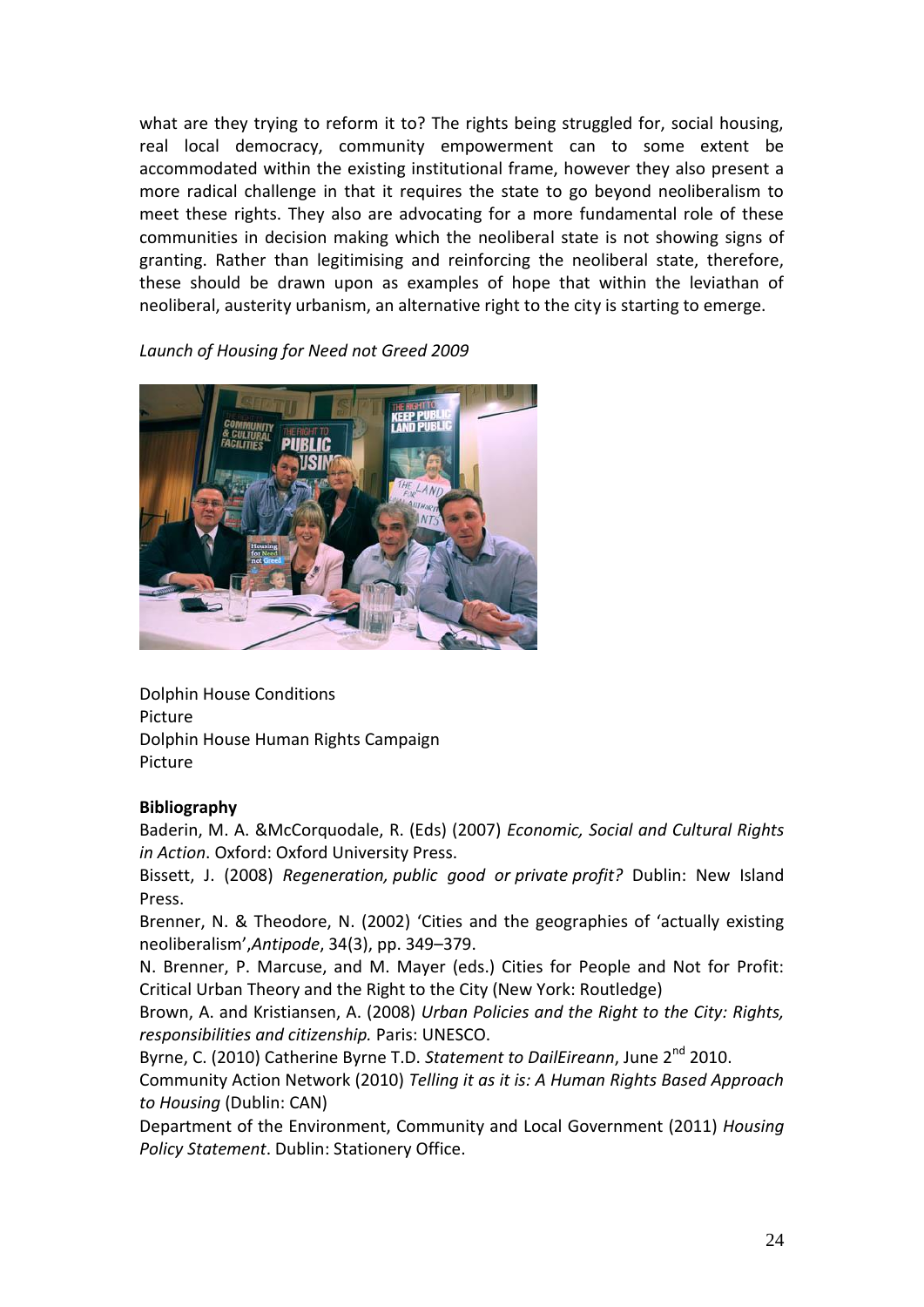what are they trying to reform it to? The rights being struggled for, social housing, real local democracy, community empowerment can to some extent be accommodated within the existing institutional frame, however they also present a more radical challenge in that it requires the state to go beyond neoliberalism to meet these rights. They also are advocating for a more fundamental role of these communities in decision making which the neoliberal state is not showing signs of granting. Rather than legitimising and reinforcing the neoliberal state, therefore, these should be drawn upon as examples of hope that within the leviathan of neoliberal, austerity urbanism, an alternative right to the city is starting to emerge.

## *Launch of Housing for Need not Greed 2009*



Dolphin House Conditions Picture Dolphin House Human Rights Campaign Picture

#### **Bibliography**

Baderin, M. A. &McCorquodale, R. (Eds) (2007) *Economic, Social and Cultural Rights in Action*. Oxford: Oxford University Press.

Bissett, J. (2008) *Regeneration, public good or private profit?* Dublin: New Island Press.

Brenner, N. & Theodore, N. (2002) 'Cities and the geographies of 'actually existing neoliberalism',*Antipode*, 34(3), pp. 349–379.

N. Brenner, P. Marcuse, and M. Mayer (eds.) Cities for People and Not for Profit: Critical Urban Theory and the Right to the City (New York: Routledge)

Brown, A. and Kristiansen, A. (2008) *Urban Policies and the Right to the City: Rights, responsibilities and citizenship.* Paris: UNESCO.

Byrne, C. (2010) Catherine Byrne T.D. *Statement to DailEireann*, June 2<sup>nd</sup> 2010.

Community Action Network (2010) *Telling it as it is: A Human Rights Based Approach to Housing* (Dublin: CAN)

Department of the Environment, Community and Local Government (2011) *Housing Policy Statement*. Dublin: Stationery Office.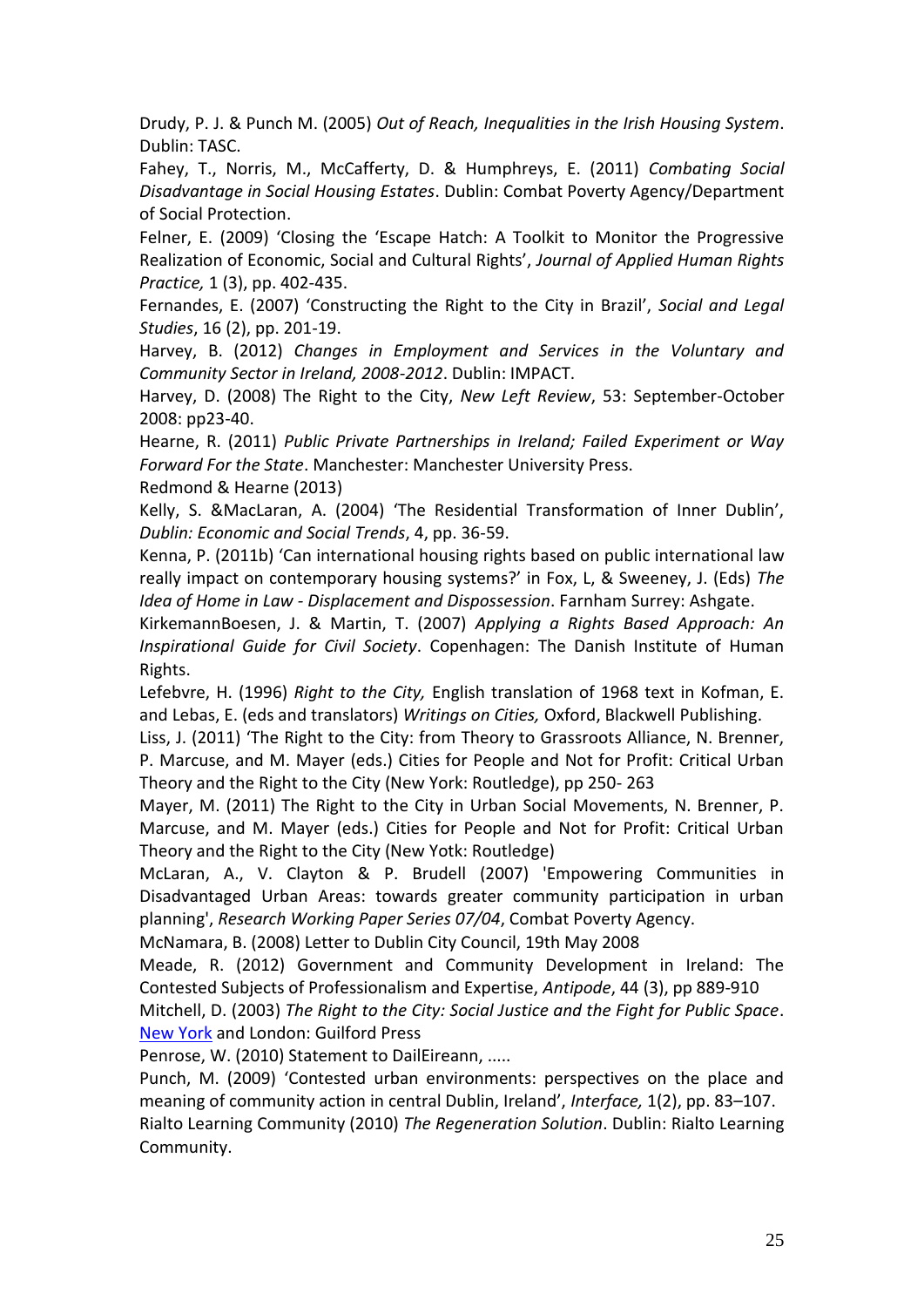Drudy, P. J. & Punch M. (2005) *Out of Reach, Inequalities in the Irish Housing System*. Dublin: TASC.

Fahey, T., Norris, M., McCafferty, D. & Humphreys, E. (2011) *Combating Social Disadvantage in Social Housing Estates*. Dublin: Combat Poverty Agency/Department of Social Protection.

Felner, E. (2009) 'Closing the 'Escape Hatch: A Toolkit to Monitor the Progressive Realization of Economic, Social and Cultural Rights', *Journal of Applied Human Rights Practice,* 1 (3), pp. 402-435.

Fernandes, E. (2007) 'Constructing the Right to the City in Brazil', *Social and Legal Studies*, 16 (2), pp. 201-19.

Harvey, B. (2012) *Changes in Employment and Services in the Voluntary and Community Sector in Ireland, 2008-2012*. Dublin: IMPACT.

Harvey, D. (2008) The Right to the City, *New Left Review*, 53: September-October 2008: pp23-40.

Hearne, R. (2011) *Public Private Partnerships in Ireland; Failed Experiment or Way Forward For the State*. Manchester: Manchester University Press.

Redmond & Hearne (2013)

Kelly, S. &MacLaran, A. (2004) 'The Residential Transformation of Inner Dublin', *Dublin: Economic and Social Trends*, 4, pp. 36-59.

Kenna, P. (2011b) 'Can international housing rights based on public international law really impact on contemporary housing systems?' in Fox, L, & Sweeney, J. (Eds) *The Idea of Home in Law - Displacement and Dispossession*. Farnham Surrey: Ashgate.

KirkemannBoesen, J. & Martin, T. (2007) *Applying a Rights Based Approach: An Inspirational Guide for Civil Society*. Copenhagen: The Danish Institute of Human Rights.

Lefebvre, H. (1996) *Right to the City,* English translation of 1968 text in Kofman, E. and Lebas, E. (eds and translators) *Writings on Cities,* Oxford, Blackwell Publishing.

Liss, J. (2011) 'The Right to the City: from Theory to Grassroots Alliance, N. Brenner, P. Marcuse, and M. Mayer (eds.) Cities for People and Not for Profit: Critical Urban Theory and the Right to the City (New York: Routledge), pp 250- 263

Mayer, M. (2011) The Right to the City in Urban Social Movements, N. Brenner, P. Marcuse, and M. Mayer (eds.) Cities for People and Not for Profit: Critical Urban Theory and the Right to the City (New Yotk: Routledge)

McLaran, A., V. Clayton & P. Brudell (2007) 'Empowering Communities in Disadvantaged Urban Areas: towards greater community participation in urban planning', *Research Working Paper Series 07/04*, Combat Poverty Agency.

McNamara, B. (2008) Letter to Dublin City Council, 19th May 2008

Meade, R. (2012) Government and Community Development in Ireland: The Contested Subjects of Professionalism and Expertise, *Antipode*, 44 (3), pp 889-910

Mitchell, D. (2003) *The Right to the City: Social Justice and the Fight for Public Space*. [New York](http://encyclopedia2.thefreedictionary.com/New+York) and London: Guilford Press

Penrose, W. (2010) Statement to DailEireann, .....

Punch, M. (2009) 'Contested urban environments: perspectives on the place and meaning of community action in central Dublin, Ireland', *Interface,* 1(2), pp. 83–107. Rialto Learning Community (2010) *The Regeneration Solution*. Dublin: Rialto Learning Community.